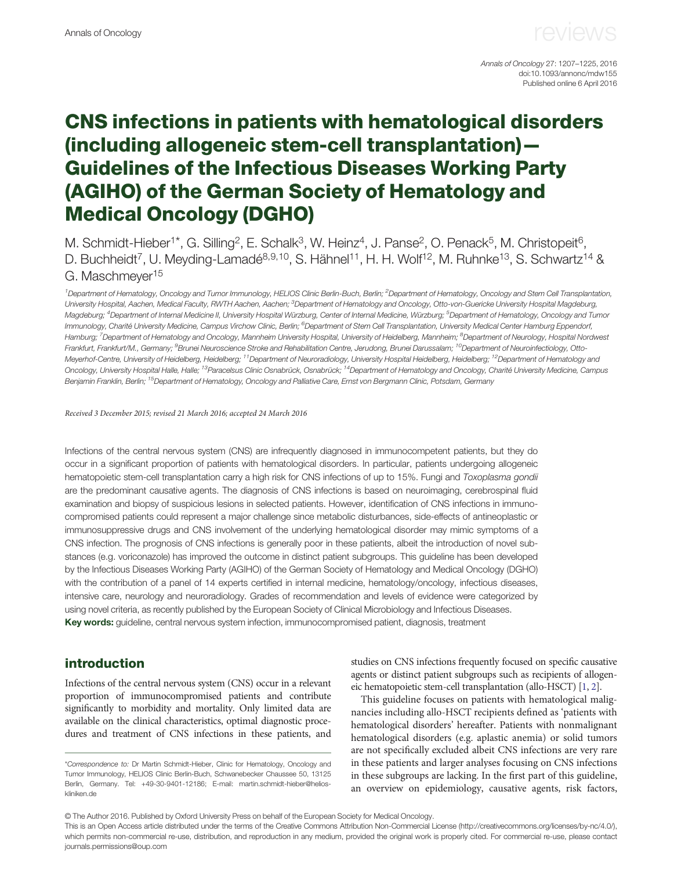Annals of Oncology 27: 1207–1225, 2016 doi:10.1093/annonc/mdw155 Published online 6 April 2016

### CNS infections in patients with hematological disorders (including allogeneic stem-cell transplantation)— Guidelines of the Infectious Diseases Working Party (AGIHO) of the German Society of Hematology and Medical Oncology (DGHO)

M. Schmidt-Hieber<sup>1\*</sup>, G. Silling<sup>2</sup>, E. Schalk<sup>3</sup>, W. Heinz<sup>4</sup>, J. Panse<sup>2</sup>, O. Penack<sup>5</sup>, M. Christopeit<sup>6</sup>, D. Buchheidt<sup>7</sup>, U. Meyding-Lamadé<sup>8,9,10</sup>, S. Hähnel<sup>11</sup>, H. H. Wolf<sup>12</sup>, M. Ruhnke<sup>13</sup>, S. Schwartz<sup>14</sup> & G. Maschmeyer<sup>15</sup>

<sup>1</sup> Department of Hematology, Oncology and Tumor Immunology, HELIOS Clinic Berlin-Buch, Berlin; <sup>2</sup> Department of Hematology, Oncology and Stem Cell Transplantation, University Hospital, Aachen, Medical Faculty, RWTH Aachen, Aachen; <sup>3</sup>Department of Hematology and Oncology, Otto-von-Guericke University Hospital Magdeburg, Magdeburg; <sup>4</sup>Department of Internal Medicine II, University Hospital Würzburg, Center of Internal Medicine, Würzburg; <sup>5</sup>Department of Hematology, Oncology and Tumor Immunology, Charité University Medicine, Campus Virchow Clinic, Berlin; <sup>6</sup>Department of Stem Cell Transplantation, University Medical Center Hamburg Eppendorf, Hamburg; <sup>7</sup>Department of Hematology and Oncology, Mannheim University Hospital, University of Heidelberg, Mannheim; <sup>8</sup>Department of Neurology, Hospital Nordwest Frankfurt, Frankfurt/M., Germany; <sup>9</sup>Brunei Neuroscience Stroke and Rehabilitation Centre, Jerudong, Brunei Darussalam; <sup>10</sup>Department of Neuroinfectiology, Otto-Meyerhof-Centre, University of Heidelberg, Heidelberg; <sup>11</sup>Department of Neuroradiology, University Hospital Heidelberg, Heidelberg; <sup>12</sup>Department of Hematology and Oncology, University Hospital Halle, Halle; <sup>13</sup>Paracelsus Clinic Osnabrück, Osnabrück; <sup>14</sup>Department of Hematology and Oncology, Charité University Medicine, Campus Benjamin Franklin, Berlin; <sup>15</sup>Department of Hematology, Oncology and Palliative Care, Ernst von Bergmann Clinic, Potsdam, Germany

Received 3 December 2015; revised 21 March 2016; accepted 24 March 2016

Infections of the central nervous system (CNS) are infrequently diagnosed in immunocompetent patients, but they do occur in a significant proportion of patients with hematological disorders. In particular, patients undergoing allogeneic hematopoietic stem-cell transplantation carry a high risk for CNS infections of up to 15%. Fungi and Toxoplasma gondii are the predominant causative agents. The diagnosis of CNS infections is based on neuroimaging, cerebrospinal fluid examination and biopsy of suspicious lesions in selected patients. However, identification of CNS infections in immunocompromised patients could represent a major challenge since metabolic disturbances, side-effects of antineoplastic or immunosuppressive drugs and CNS involvement of the underlying hematological disorder may mimic symptoms of a CNS infection. The prognosis of CNS infections is generally poor in these patients, albeit the introduction of novel substances (e.g. voriconazole) has improved the outcome in distinct patient subgroups. This guideline has been developed by the Infectious Diseases Working Party (AGIHO) of the German Society of Hematology and Medical Oncology (DGHO) with the contribution of a panel of 14 experts certified in internal medicine, hematology/oncology, infectious diseases, intensive care, neurology and neuroradiology. Grades of recommendation and levels of evidence were categorized by using novel criteria, as recently published by the European Society of Clinical Microbiology and Infectious Diseases. Key words: guideline, central nervous system infection, immunocompromised patient, diagnosis, treatment

#### introduction

Infections of the central nervous system (CNS) occur in a relevant proportion of immunocompromised patients and contribute significantly to morbidity and mortality. Only limited data are available on the clinical characteristics, optimal diagnostic procedures and treatment of CNS infections in these patients, and studies on CNS infections frequently focused on specific causative agents or distinct patient subgroups such as recipients of allogeneic hematopoietic stem-cell transplantation (allo-HSCT) [\[1](#page-12-0), [2\]](#page-12-0).

This guideline focuses on patients with hematological malignancies including allo-HSCT recipients defined as 'patients with hematological disorders' hereafter. Patients with nonmalignant hematological disorders (e.g. aplastic anemia) or solid tumors are not specifically excluded albeit CNS infections are very rare in these patients and larger analyses focusing on CNS infections in these subgroups are lacking. In the first part of this guideline, an overview on epidemiology, causative agents, risk factors,

© The Author 2016. Published by Oxford University Press on behalf of the European Society for Medical Oncology.

This is an Open Access article distributed under the terms of the Creative Commons Attribution Non-Commercial License (<http://creativecommons.org/licenses/by-nc/4.0/>), which permits non-commercial re-use, distribution, and reproduction in any medium, provided the original work is properly cited. For commercial re-use, please contact journals.permissions@oup.com

<sup>\*</sup>Correspondence to: Dr Martin Schmidt-Hieber, Clinic for Hematology, Oncology and Tumor Immunology, HELIOS Clinic Berlin-Buch, Schwanebecker Chaussee 50, 13125 Berlin, Germany. Tel: +49-30-9401-12186; E-mail: martin.schmidt-hieber@helioskliniken.de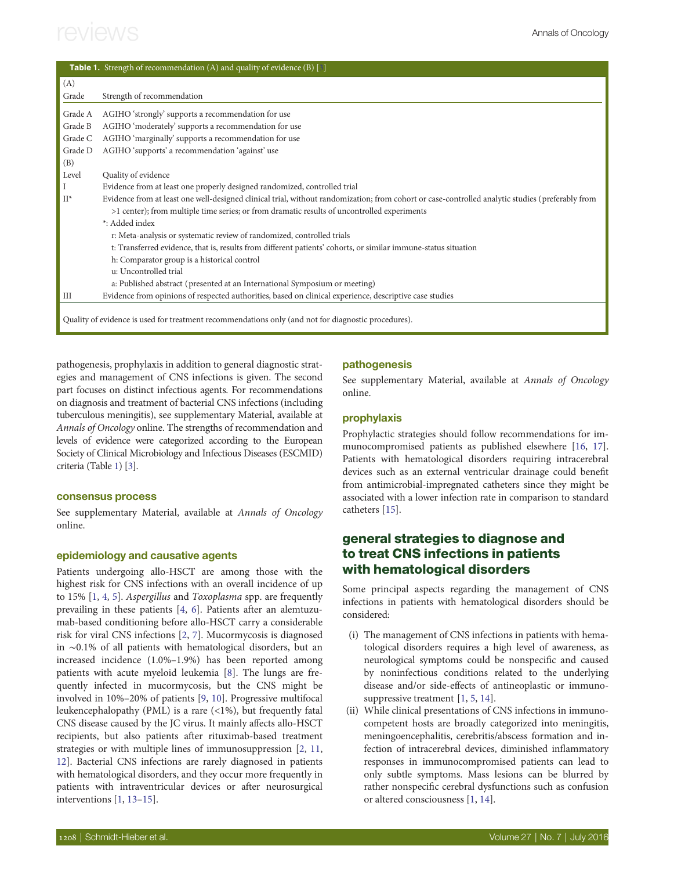|         | <b>Table 1.</b> Strength of recommendation (A) and quality of evidence (B) [3]                                                                   |
|---------|--------------------------------------------------------------------------------------------------------------------------------------------------|
| (A)     |                                                                                                                                                  |
| Grade   | Strength of recommendation                                                                                                                       |
| Grade A | AGIHO 'strongly' supports a recommendation for use                                                                                               |
| Grade B | AGIHO 'moderately' supports a recommendation for use                                                                                             |
| Grade C | AGIHO 'marginally' supports a recommendation for use                                                                                             |
| Grade D | AGIHO 'supports' a recommendation 'against' use                                                                                                  |
| (B)     |                                                                                                                                                  |
| Level   | Quality of evidence                                                                                                                              |
| I       | Evidence from at least one properly designed randomized, controlled trial                                                                        |
| $II^*$  | Evidence from at least one well-designed clinical trial, without randomization; from cohort or case-controlled analytic studies (preferably from |
|         | >1 center); from multiple time series; or from dramatic results of uncontrolled experiments                                                      |
|         | *: Added index                                                                                                                                   |
|         | r: Meta-analysis or systematic review of randomized, controlled trials                                                                           |
|         | t: Transferred evidence, that is, results from different patients' cohorts, or similar immune-status situation                                   |
|         | h: Comparator group is a historical control                                                                                                      |
|         | u: Uncontrolled trial                                                                                                                            |
|         | a: Published abstract (presented at an International Symposium or meeting)                                                                       |
| III     | Evidence from opinions of respected authorities, based on clinical experience, descriptive case studies                                          |
|         | Quality of evidence is used for treatment recommendations only (and not for diagnostic procedures).                                              |

pathogenesis, prophylaxis in addition to general diagnostic strategies and management of CNS infections is given. The second part focuses on distinct infectious agents. For recommendations on diagnosis and treatment of bacterial CNS infections (including tuberculous meningitis), see [supplementary Material, available at](http://annonc.oxfordjournals.org/lookup/suppl/doi:10.1093/annonc/mdw155/-/DC1) [Annals of Oncology](http://annonc.oxfordjournals.org/lookup/suppl/doi:10.1093/annonc/mdw155/-/DC1) online. The strengths of recommendation and levels of evidence were categorized according to the European Society of Clinical Microbiology and Infectious Diseases (ESCMID) criteria (Table 1) [\[3\]](#page-12-0).

#### consensus process

[See supplementary Material, available at](http://annonc.oxfordjournals.org/lookup/suppl/doi:10.1093/annonc/mdw155/-/DC1) Annals of Oncology [online](http://annonc.oxfordjournals.org/lookup/suppl/doi:10.1093/annonc/mdw155/-/DC1).

#### epidemiology and causative agents

Patients undergoing allo-HSCT are among those with the highest risk for CNS infections with an overall incidence of up to 15% [[1](#page-12-0), [4](#page-12-0), [5\]](#page-12-0). Aspergillus and Toxoplasma spp. are frequently prevailing in these patients [[4](#page-12-0), [6\]](#page-12-0). Patients after an alemtuzumab-based conditioning before allo-HSCT carry a considerable risk for viral CNS infections [\[2,](#page-12-0) [7](#page-12-0)]. Mucormycosis is diagnosed in ∼0.1% of all patients with hematological disorders, but an increased incidence (1.0%–1.9%) has been reported among patients with acute myeloid leukemia [[8](#page-12-0)]. The lungs are frequently infected in mucormycosis, but the CNS might be involved in 10%–20% of patients [[9](#page-12-0), [10](#page-12-0)]. Progressive multifocal leukencephalopathy (PML) is a rare (<1%), but frequently fatal CNS disease caused by the JC virus. It mainly affects allo-HSCT recipients, but also patients after rituximab-based treatment strategies or with multiple lines of immunosuppression [\[2,](#page-12-0) [11](#page-12-0), [12](#page-12-0)]. Bacterial CNS infections are rarely diagnosed in patients with hematological disorders, and they occur more frequently in patients with intraventricular devices or after neurosurgical interventions [[1](#page-12-0), [13](#page-12-0)–[15\]](#page-12-0).

#### pathogenesis

See [supplementary Material, available at](http://annonc.oxfordjournals.org/lookup/suppl/doi:10.1093/annonc/mdw155/-/DC1) Annals of Oncology [online](http://annonc.oxfordjournals.org/lookup/suppl/doi:10.1093/annonc/mdw155/-/DC1).

#### prophylaxis

Prophylactic strategies should follow recommendations for immunocompromised patients as published elsewhere [[16](#page-12-0), [17\]](#page-12-0). Patients with hematological disorders requiring intracerebral devices such as an external ventricular drainage could benefit from antimicrobial-impregnated catheters since they might be associated with a lower infection rate in comparison to standard catheters [\[15](#page-12-0)].

### general strategies to diagnose and to treat CNS infections in patients with hematological disorders

Some principal aspects regarding the management of CNS infections in patients with hematological disorders should be considered:

- (i) The management of CNS infections in patients with hematological disorders requires a high level of awareness, as neurological symptoms could be nonspecific and caused by noninfectious conditions related to the underlying disease and/or side-effects of antineoplastic or immunosuppressive treatment [[1](#page-12-0), [5](#page-12-0), [14](#page-12-0)].
- (ii) While clinical presentations of CNS infections in immunocompetent hosts are broadly categorized into meningitis, meningoencephalitis, cerebritis/abscess formation and infection of intracerebral devices, diminished inflammatory responses in immunocompromised patients can lead to only subtle symptoms. Mass lesions can be blurred by rather nonspecific cerebral dysfunctions such as confusion or altered consciousness [\[1,](#page-12-0) [14](#page-12-0)].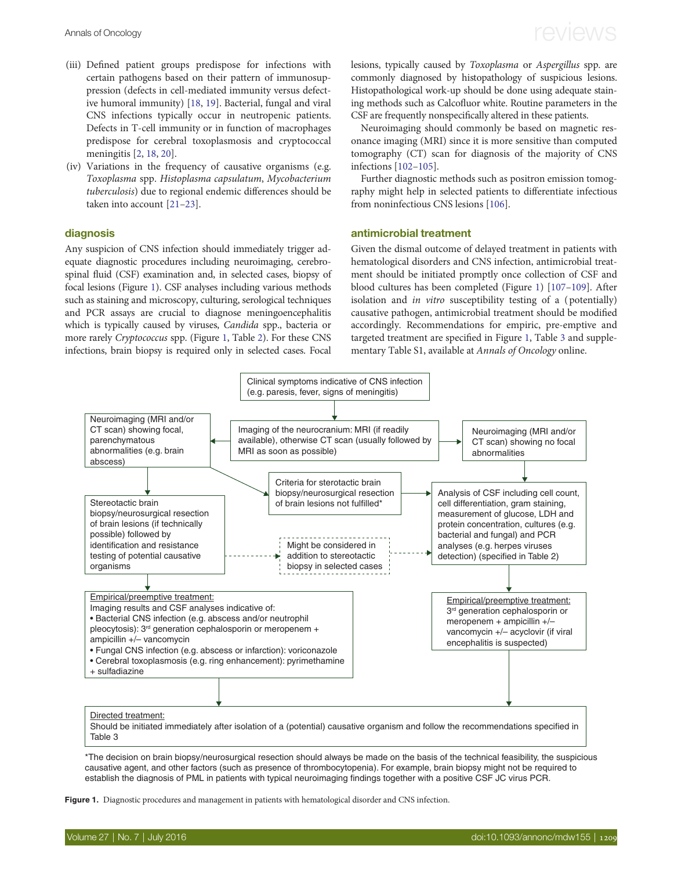- (iii) Defined patient groups predispose for infections with certain pathogens based on their pattern of immunosuppression (defects in cell-mediated immunity versus defective humoral immunity) [\[18](#page-12-0), [19](#page-12-0)]. Bacterial, fungal and viral CNS infections typically occur in neutropenic patients. Defects in T-cell immunity or in function of macrophages predispose for cerebral toxoplasmosis and cryptococcal meningitis [\[2,](#page-12-0) [18](#page-12-0), [20](#page-12-0)].
- (iv) Variations in the frequency of causative organisms (e.g. Toxoplasma spp. Histoplasma capsulatum, Mycobacterium tuberculosis) due to regional endemic differences should be taken into account [\[21](#page-12-0)–[23](#page-12-0)].

#### diagnosis

Any suspicion of CNS infection should immediately trigger adequate diagnostic procedures including neuroimaging, cerebrospinal fluid (CSF) examination and, in selected cases, biopsy of focal lesions (Figure 1). CSF analyses including various methods such as staining and microscopy, culturing, serological techniques and PCR assays are crucial to diagnose meningoencephalitis which is typically caused by viruses, Candida spp., bacteria or more rarely Cryptococcus spp. (Figure 1, Table [2\)](#page-3-0). For these CNS infections, brain biopsy is required only in selected cases. Focal

lesions, typically caused by Toxoplasma or Aspergillus spp. are commonly diagnosed by histopathology of suspicious lesions. Histopathological work-up should be done using adequate staining methods such as Calcofluor white. Routine parameters in the CSF are frequently nonspecifically altered in these patients.

Neuroimaging should commonly be based on magnetic resonance imaging (MRI) since it is more sensitive than computed tomography (CT) scan for diagnosis of the majority of CNS infections [[102](#page-14-0)–[105\]](#page-14-0).

Further diagnostic methods such as positron emission tomography might help in selected patients to differentiate infectious from noninfectious CNS lesions [[106\]](#page-14-0).

#### antimicrobial treatment

Given the dismal outcome of delayed treatment in patients with hematological disorders and CNS infection, antimicrobial treatment should be initiated promptly once collection of CSF and blood cultures has been completed (Figure 1) [[107](#page-14-0)–[109\]](#page-14-0). After isolation and in vitro susceptibility testing of a ( potentially) causative pathogen, antimicrobial treatment should be modified accordingly. Recommendations for empiric, pre-emptive and targeted treatment are specified in Figure 1, Table [3](#page-5-0) and [supple](http://annonc.oxfordjournals.org/lookup/suppl/doi:10.1093/annonc/mdw155/-/DC1)[mentary Table S1, available at](http://annonc.oxfordjournals.org/lookup/suppl/doi:10.1093/annonc/mdw155/-/DC1) Annals of Oncology online.



\*The decision on brain biopsy/neurosurgical resection should always be made on the basis of the technical feasibility, the suspicious causative agent, and other factors (such as presence of thrombocytopenia). For example, brain biopsy might not be required to establish the diagnosis of PML in patients with typical neuroimaging findings together with a positive CSF JC virus PCR.

Figure 1. Diagnostic procedures and management in patients with hematological disorder and CNS infection.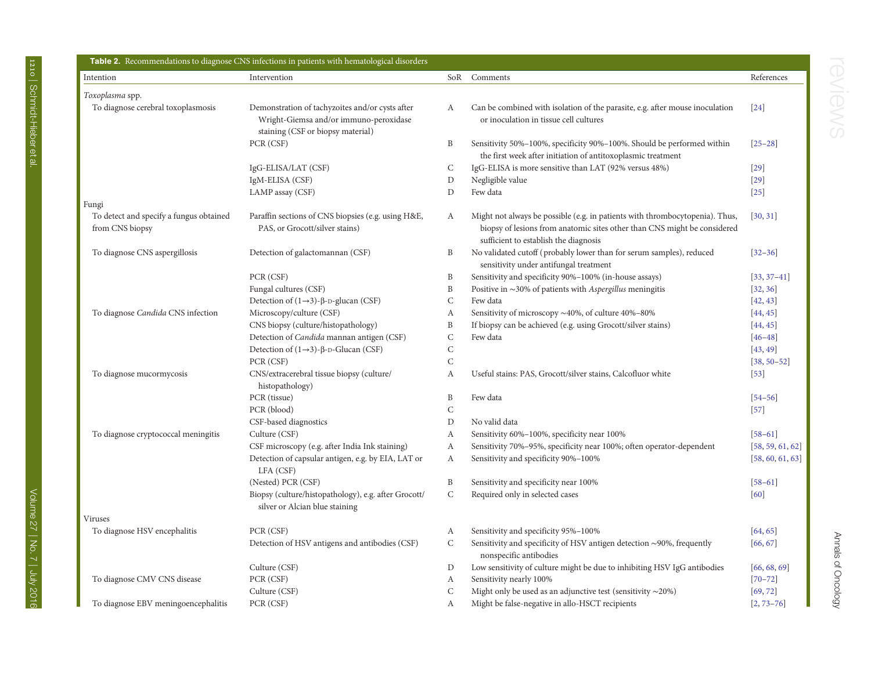<span id="page-3-0"></span>

| Intention                                                  | Intervention                                                                                                                   | SoR          | Comments                                                                                                                                                                                          | References       |
|------------------------------------------------------------|--------------------------------------------------------------------------------------------------------------------------------|--------------|---------------------------------------------------------------------------------------------------------------------------------------------------------------------------------------------------|------------------|
| Toxoplasma spp.                                            |                                                                                                                                |              |                                                                                                                                                                                                   |                  |
| To diagnose cerebral toxoplasmosis                         | Demonstration of tachyzoites and/or cysts after<br>Wright-Giemsa and/or immuno-peroxidase<br>staining (CSF or biopsy material) | A            | Can be combined with isolation of the parasite, e.g. after mouse inoculation<br>or inoculation in tissue cell cultures                                                                            | $[24]$           |
|                                                            | PCR (CSF)                                                                                                                      | B            | Sensitivity 50%-100%, specificity 90%-100%. Should be performed within<br>the first week after initiation of antitoxoplasmic treatment                                                            | $[25 - 28]$      |
|                                                            | IgG-ELISA/LAT (CSF)                                                                                                            | C            | IgG-ELISA is more sensitive than LAT (92% versus 48%)                                                                                                                                             | $[29]$           |
|                                                            | IgM-ELISA (CSF)                                                                                                                | $\mathbf D$  | Negligible value                                                                                                                                                                                  | $[29]$           |
|                                                            | LAMP assay (CSF)                                                                                                               | ${\rm D}$    | Few data                                                                                                                                                                                          | $[25]$           |
| Fungi                                                      |                                                                                                                                |              |                                                                                                                                                                                                   |                  |
| To detect and specify a fungus obtained<br>from CNS biopsy | Paraffin sections of CNS biopsies (e.g. using H&E,<br>PAS, or Grocott/silver stains)                                           | A            | Might not always be possible (e.g. in patients with thrombocytopenia). Thus,<br>biopsy of lesions from anatomic sites other than CNS might be considered<br>sufficient to establish the diagnosis | [30, 31]         |
| To diagnose CNS aspergillosis                              | Detection of galactomannan (CSF)                                                                                               | B            | No validated cutoff (probably lower than for serum samples), reduced<br>sensitivity under antifungal treatment                                                                                    | $[32 - 36]$      |
|                                                            | PCR (CSF)                                                                                                                      | B            | Sensitivity and specificity 90%-100% (in-house assays)                                                                                                                                            | $[33, 37-41]$    |
|                                                            | Fungal cultures (CSF)                                                                                                          | B            | Positive in $\sim$ 30% of patients with Aspergillus meningitis                                                                                                                                    | [32, 36]         |
|                                                            | Detection of $(1\rightarrow 3)$ - $\beta$ - $D$ -glucan (CSF)                                                                  | $\mathsf C$  | Few data                                                                                                                                                                                          | [42, 43]         |
| To diagnose Candida CNS infection                          | Microscopy/culture (CSF)                                                                                                       | А            | Sensitivity of microscopy ~40%, of culture 40%-80%                                                                                                                                                | [44, 45]         |
|                                                            | CNS biopsy (culture/histopathology)                                                                                            | $\, {\bf B}$ | If biopsy can be achieved (e.g. using Grocott/silver stains)                                                                                                                                      | [44, 45]         |
|                                                            | Detection of Candida mannan antigen (CSF)                                                                                      | $\mathsf C$  | Few data                                                                                                                                                                                          | $[46 - 48]$      |
|                                                            | Detection of $(1\rightarrow 3)$ - $\beta$ -D-Glucan (CSF)                                                                      | $\mathsf C$  |                                                                                                                                                                                                   | [43, 49]         |
|                                                            | PCR (CSF)                                                                                                                      | $\mathbf C$  |                                                                                                                                                                                                   | $[38, 50 - 52]$  |
| To diagnose mucormycosis                                   | CNS/extracerebral tissue biopsy (culture/<br>histopathology)                                                                   | A            | Useful stains: PAS, Grocott/silver stains, Calcofluor white                                                                                                                                       | $[53]$           |
|                                                            | PCR (tissue)                                                                                                                   | B            | Few data                                                                                                                                                                                          | $[54 - 56]$      |
|                                                            | PCR (blood)                                                                                                                    | $\mathsf C$  |                                                                                                                                                                                                   | $[57]$           |
|                                                            | CSF-based diagnostics                                                                                                          | D            | No valid data                                                                                                                                                                                     |                  |
| To diagnose cryptococcal meningitis                        | Culture (CSF)                                                                                                                  | A            | Sensitivity 60%-100%, specificity near 100%                                                                                                                                                       | $[58-61]$        |
|                                                            | CSF microscopy (e.g. after India Ink staining)                                                                                 | А            | Sensitivity 70%-95%, specificity near 100%; often operator-dependent                                                                                                                              | [58, 59, 61, 62] |
|                                                            | Detection of capsular antigen, e.g. by EIA, LAT or<br>LFA (CSF)                                                                | A            | Sensitivity and specificity 90%-100%                                                                                                                                                              | [58, 60, 61, 63] |
|                                                            | (Nested) PCR (CSF)                                                                                                             | $\, {\bf B}$ | Sensitivity and specificity near 100%                                                                                                                                                             | $[58-61]$        |
|                                                            | Biopsy (culture/histopathology), e.g. after Grocott/<br>silver or Alcian blue staining                                         | $\mathsf C$  | Required only in selected cases                                                                                                                                                                   | [60]             |
| Viruses                                                    |                                                                                                                                |              |                                                                                                                                                                                                   |                  |
| To diagnose HSV encephalitis                               | PCR (CSF)                                                                                                                      | A            | Sensitivity and specificity 95%-100%                                                                                                                                                              | [64, 65]         |
|                                                            | Detection of HSV antigens and antibodies (CSF)                                                                                 | $\mathsf{C}$ | Sensitivity and specificity of HSV antigen detection $\sim$ 90%, frequently<br>nonspecific antibodies                                                                                             | [66, 67]         |
|                                                            | Culture (CSF)                                                                                                                  | D            | Low sensitivity of culture might be due to inhibiting HSV IgG antibodies                                                                                                                          | [66, 68, 69]     |
| To diagnose CMV CNS disease                                | PCR (CSF)                                                                                                                      | A            | Sensitivity nearly 100%                                                                                                                                                                           | $[70 - 72]$      |
|                                                            | Culture (CSF)                                                                                                                  | C            | Might only be used as an adjunctive test (sensitivity $\sim$ 20%)                                                                                                                                 | [69, 72]         |
| To diagnose EBV meningoencephalitis                        | PCR (CSF)                                                                                                                      | А            | Might be false-negative in allo-HSCT recipients                                                                                                                                                   | $[2, 73 - 76]$   |

reviews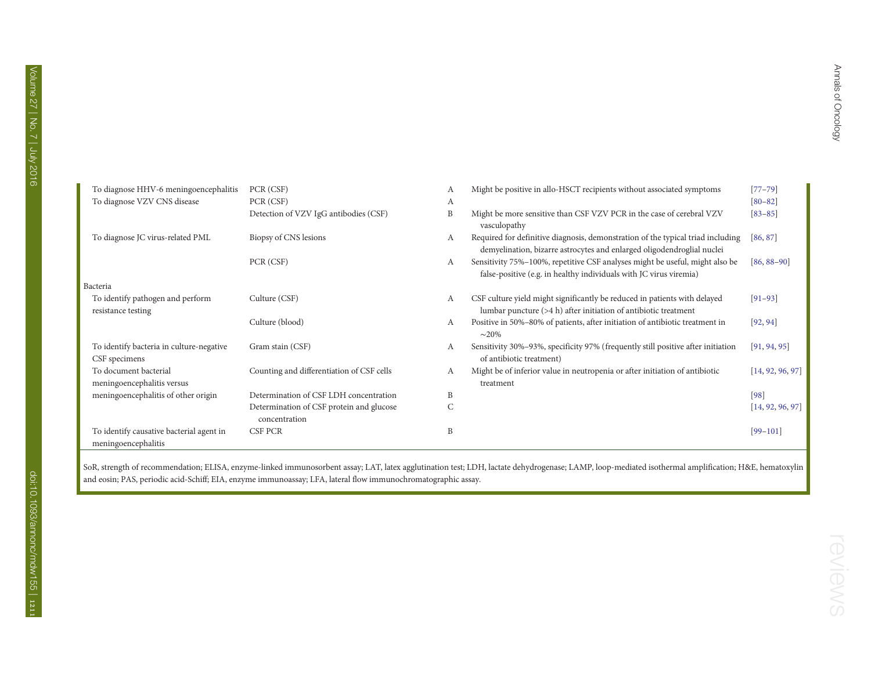| To diagnose HHV-6 meningoencephalitis                           | PCR (CSF)                                                 | А            | Might be positive in allo-HSCT recipients without associated symptoms                                                                                     | $[77 - 79]$      |
|-----------------------------------------------------------------|-----------------------------------------------------------|--------------|-----------------------------------------------------------------------------------------------------------------------------------------------------------|------------------|
| To diagnose VZV CNS disease                                     | PCR (CSF)                                                 | A            |                                                                                                                                                           | $[80 - 82]$      |
|                                                                 | Detection of VZV IgG antibodies (CSF)                     | B            | Might be more sensitive than CSF VZV PCR in the case of cerebral VZV<br>vasculopathy                                                                      | $[83 - 85]$      |
| To diagnose JC virus-related PML                                | Biopsy of CNS lesions                                     | А            | Required for definitive diagnosis, demonstration of the typical triad including<br>demyelination, bizarre astrocytes and enlarged oligodendroglial nuclei | [86, 87]         |
|                                                                 | PCR (CSF)                                                 | А            | Sensitivity 75%-100%, repetitive CSF analyses might be useful, might also be<br>false-positive (e.g. in healthy individuals with JC virus viremia)        | $[86, 88-90]$    |
| Bacteria                                                        |                                                           |              |                                                                                                                                                           |                  |
| To identify pathogen and perform<br>resistance testing          | Culture (CSF)                                             | А            | CSF culture yield might significantly be reduced in patients with delayed<br>lumbar puncture $(>4 h)$ after initiation of antibiotic treatment            | $[91 - 93]$      |
|                                                                 | Culture (blood)                                           | А            | Positive in 50%-80% of patients, after initiation of antibiotic treatment in<br>$\sim$ 20%                                                                | [92, 94]         |
| To identify bacteria in culture-negative<br>CSF specimens       | Gram stain (CSF)                                          | А            | Sensitivity 30%–93%, specificity 97% (frequently still positive after initiation<br>of antibiotic treatment)                                              | [91, 94, 95]     |
| To document bacterial<br>meningoencephalitis versus             | Counting and differentiation of CSF cells                 | А            | Might be of inferior value in neutropenia or after initiation of antibiotic<br>treatment                                                                  | [14, 92, 96, 97] |
| meningoencephalitis of other origin                             | Determination of CSF LDH concentration                    | B            |                                                                                                                                                           | [98]             |
|                                                                 | Determination of CSF protein and glucose<br>concentration | $\mathsf{C}$ |                                                                                                                                                           | [14, 92, 96, 97] |
| To identify causative bacterial agent in<br>meningoencephalitis | CSF PCR                                                   | B            |                                                                                                                                                           | $[99-101]$       |

SoR, strength of recommendation; ELISA, enzyme-linked immunosorbent assay; LAT, latex agglutination test; LDH, lactate dehydrogenase; LAMP, loop-mediated isothermal amplification; H&E, hematoxylin and eosin; PAS, periodic acid-Schiff; EIA, enzyme immunoassay; LFA, lateral flow immunochromatographic assay.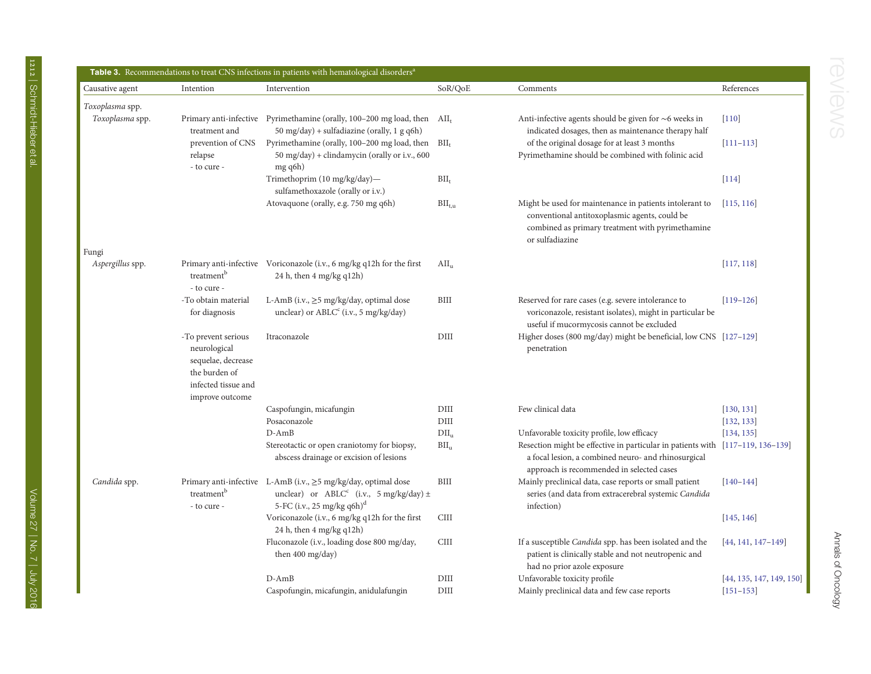<span id="page-5-0"></span>

| Causative agent  | Intention                                                                                                            | Intervention                                                                                                                                          | SoR/QoE                 | Comments                                                                                                                                                                           | References             |
|------------------|----------------------------------------------------------------------------------------------------------------------|-------------------------------------------------------------------------------------------------------------------------------------------------------|-------------------------|------------------------------------------------------------------------------------------------------------------------------------------------------------------------------------|------------------------|
| Toxoplasma spp.  |                                                                                                                      |                                                                                                                                                       |                         |                                                                                                                                                                                    |                        |
| Toxoplasma spp.  | treatment and                                                                                                        | Primary anti-infective Pyrimethamine (orally, 100-200 mg load, then AII <sub>t</sub><br>50 mg/day) + sulfadiazine (orally, 1 g q6h)                   |                         | Anti-infective agents should be given for $\sim$ 6 weeks in<br>indicated dosages, then as maintenance therapy half                                                                 | $[110]$                |
|                  | prevention of CNS<br>relapse<br>- to cure -                                                                          | Pyrimethamine (orally, 100-200 mg load, then BII <sub>t</sub><br>50 mg/day) + clindamycin (orally or i.v., 600<br>mg q6h)                             |                         | of the original dosage for at least 3 months<br>Pyrimethamine should be combined with folinic acid                                                                                 | $[111 - 113]$          |
|                  |                                                                                                                      | Trimethoprim (10 mg/kg/day)-<br>sulfamethoxazole (orally or i.v.)                                                                                     | $BII_t$                 |                                                                                                                                                                                    | $[114]$                |
| Fungi            |                                                                                                                      | Atovaquone (orally, e.g. 750 mg q6h)                                                                                                                  | $BII_{t,u}$             | Might be used for maintenance in patients intolerant to<br>conventional antitoxoplasmic agents, could be<br>combined as primary treatment with pyrimethamine<br>or sulfadiazine    | [115, 116]             |
| Aspergillus spp. |                                                                                                                      | Primary anti-infective Voriconazole (i.v., 6 mg/kg q12h for the first                                                                                 | $\text{AII}_{\text{u}}$ |                                                                                                                                                                                    | [117, 118]             |
|                  | treatment <sup>b</sup><br>- to cure -                                                                                | 24 h, then 4 mg/kg q12h)                                                                                                                              |                         |                                                                                                                                                                                    |                        |
|                  | -To obtain material<br>for diagnosis                                                                                 | L-AmB (i.v., ≥5 mg/kg/day, optimal dose<br>unclear) or ABLC <sup>c</sup> (i.v., 5 mg/kg/day)                                                          | <b>BIII</b>             | Reserved for rare cases (e.g. severe intolerance to<br>voriconazole, resistant isolates), might in particular be<br>useful if mucormycosis cannot be excluded                      | $[119-126]$            |
|                  | -To prevent serious<br>neurological<br>sequelae, decrease<br>the burden of<br>infected tissue and<br>improve outcome | Itraconazole                                                                                                                                          | DIII                    | Higher doses (800 mg/day) might be beneficial, low CNS [127-129]<br>penetration                                                                                                    |                        |
|                  |                                                                                                                      | Caspofungin, micafungin                                                                                                                               | DIII                    | Few clinical data                                                                                                                                                                  | [130, 131]             |
|                  |                                                                                                                      | Posaconazole                                                                                                                                          | DIII                    |                                                                                                                                                                                    | [132, 133]             |
|                  |                                                                                                                      | $D-AmB$                                                                                                                                               | $DII_u$                 | Unfavorable toxicity profile, low efficacy                                                                                                                                         | [134, 135]             |
|                  |                                                                                                                      | Stereotactic or open craniotomy for biopsy,<br>abscess drainage or excision of lesions                                                                | BII <sub>u</sub>        | Resection might be effective in particular in patients with [117-119, 136-139]<br>a focal lesion, a combined neuro- and rhinosurgical<br>approach is recommended in selected cases |                        |
| Candida spp.     | treatment <sup>b</sup><br>- to cure -                                                                                | Primary anti-infective L-AmB (i.v., ≥5 mg/kg/day, optimal dose<br>unclear) or $ABLC^c$ (i.v., 5 mg/kg/day) $\pm$<br>5-FC (i.v., 25 mg/kg q6h) $\rm^d$ | BIII                    | Mainly preclinical data, case reports or small patient<br>series (and data from extracerebral systemic Candida<br>infection)                                                       | $[140 - 144]$          |
|                  |                                                                                                                      | Voriconazole (i.v., 6 mg/kg q12h for the first<br>24 h, then 4 mg/kg q12h)                                                                            | <b>CIII</b>             |                                                                                                                                                                                    | [145, 146]             |
|                  |                                                                                                                      | Fluconazole (i.v., loading dose 800 mg/day,                                                                                                           | <b>CIII</b>             | If a susceptible Candida spp. has been isolated and the                                                                                                                            | $[44, 141, 147 - 149]$ |

patient is clinically stable and not neutropenic and

had no prior azole exposure

Fungi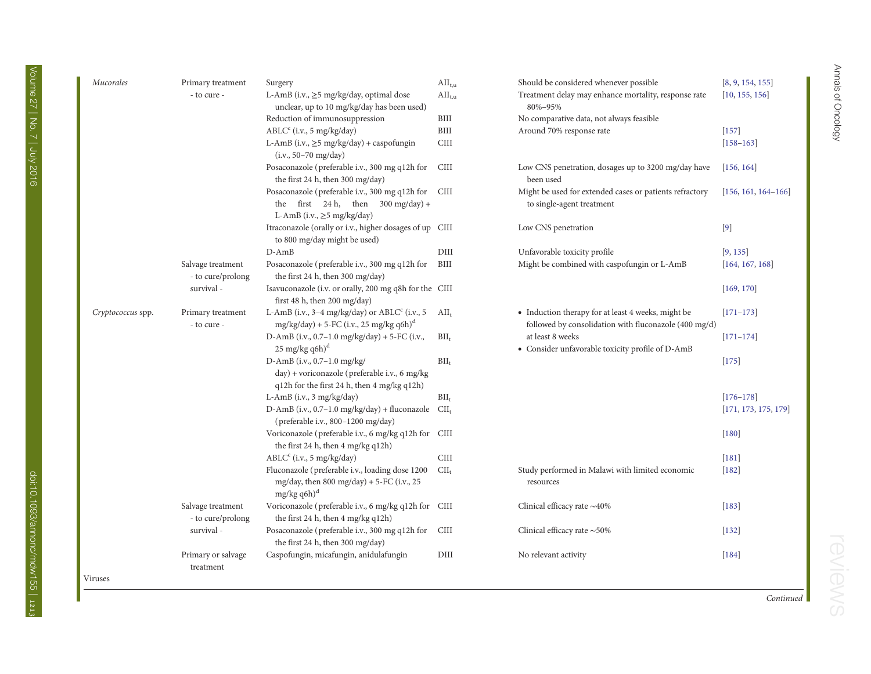| Mucorales         | Primary treatment                      | Surgery                                                                                                                           | $\text{AII}_{t,u}$ | Should be considered whenever possible                                                                      | [8, 9, 154, 155]      |
|-------------------|----------------------------------------|-----------------------------------------------------------------------------------------------------------------------------------|--------------------|-------------------------------------------------------------------------------------------------------------|-----------------------|
|                   | - to cure -                            | L-AmB (i.v., ≥5 mg/kg/day, optimal dose<br>unclear, up to 10 mg/kg/day has been used)                                             | $\text{AII}_{t,u}$ | Treatment delay may enhance mortality, response rate<br>80%-95%                                             | [10, 155, 156]        |
|                   |                                        | Reduction of immunosuppression                                                                                                    | BIII               | No comparative data, not always feasible                                                                    |                       |
|                   |                                        | $\text{ABLC}^c$ (i.v., 5 mg/kg/day)                                                                                               | BIII               | Around 70% response rate                                                                                    | $[157]$               |
|                   |                                        | L-AmB (i.v., $\geq$ 5 mg/kg/day) + caspofungin<br>$(i.v., 50-70 mg/day)$                                                          | <b>CIII</b>        |                                                                                                             | $[158 - 163]$         |
|                   |                                        | Posaconazole (preferable i.v., 300 mg q12h for<br>the first 24 h, then 300 mg/day)                                                | <b>CIII</b>        | Low CNS penetration, dosages up to 3200 mg/day have<br>been used                                            | [156, 164]            |
|                   |                                        | Posaconazole (preferable i.v., 300 mg q12h for<br>the first 24 h, then $300 \text{ mg/day}$ +<br>L-AmB (i.v., $\geq$ 5 mg/kg/day) | <b>CIII</b>        | Might be used for extended cases or patients refractory<br>to single-agent treatment                        | $[156, 161, 164-166]$ |
|                   |                                        | Itraconazole (orally or i.v., higher dosages of up CIII<br>to 800 mg/day might be used)                                           |                    | Low CNS penetration                                                                                         | $[9]$                 |
|                   |                                        | $D$ -Am $B$                                                                                                                       | DIII               | Unfavorable toxicity profile                                                                                | [9, 135]              |
|                   | Salvage treatment<br>- to cure/prolong | Posaconazole (preferable i.v., 300 mg q12h for<br>the first 24 h, then 300 mg/day)                                                | BIII               | Might be combined with caspofungin or L-AmB                                                                 | [164, 167, 168]       |
|                   | survival -                             | Isavuconazole (i.v. or orally, 200 mg q8h for the CIII<br>first 48 h, then 200 mg/day)                                            |                    |                                                                                                             | [169, 170]            |
| Cryptococcus spp. | Primary treatment<br>- to cure -       | L-AmB (i.v., 3-4 mg/kg/day) or ABLC <sup>c</sup> (i.v., 5<br>$mg/kg/day$ ) + 5-FC (i.v., 25 mg/kg q6h) <sup>d</sup>               | $\text{AII}_{t}$   | • Induction therapy for at least 4 weeks, might be<br>followed by consolidation with fluconazole (400 mg/d) | $[171 - 173]$         |
|                   |                                        | D-AmB (i.v., 0.7-1.0 mg/kg/day) + 5-FC (i.v.,<br>$25 \text{ mg/kg}$ q6h) <sup>d</sup>                                             | $BII_t$            | at least 8 weeks<br>• Consider unfavorable toxicity profile of D-AmB                                        | $[171 - 174]$         |
|                   |                                        | D-AmB (i.v., 0.7-1.0 mg/kg/<br>day) + voriconazole (preferable i.v., 6 mg/kg<br>q12h for the first 24 h, then 4 mg/kg q12h)       | $BII_t$            |                                                                                                             | $[175]$               |
|                   |                                        | L-AmB (i.v., $3$ mg/kg/day)                                                                                                       | $BII_t$            |                                                                                                             | $[176 - 178]$         |
|                   |                                        | D-AmB (i.v., 0.7-1.0 mg/kg/day) + fluconazole<br>(preferable i.v., 800-1200 mg/day)                                               | $\text{CII}_t$     |                                                                                                             | [171, 173, 175, 179]  |
|                   |                                        | Voriconazole (preferable i.v., 6 mg/kg q12h for CIII<br>the first 24 h, then 4 mg/kg q12h)                                        |                    |                                                                                                             | $[180]$               |
|                   |                                        | $\text{ABLC}^c$ (i.v., 5 mg/kg/day)                                                                                               | <b>CIII</b>        |                                                                                                             | $[181]$               |
|                   |                                        | Fluconazole (preferable i.v., loading dose 1200<br>mg/day, then 800 mg/day) + 5-FC (i.v., 25<br>$mg/kg$ q6h) <sup>d</sup>         | $\text{CII}_t$     | Study performed in Malawi with limited economic<br>resources                                                | $[182]$               |
|                   | Salvage treatment<br>- to cure/prolong | Voriconazole (preferable i.v., 6 mg/kg q12h for CIII<br>the first 24 h, then 4 mg/kg q12h)                                        |                    | Clinical efficacy rate $\sim$ 40%                                                                           | $[183]$               |
|                   | survival -                             | Posaconazole (preferable i.v., 300 mg q12h for<br>the first 24 h, then 300 mg/day)                                                | <b>CIII</b>        | Clinical efficacy rate $\sim$ 50%                                                                           | $[132]$               |
|                   | Primary or salvage<br>treatment        | Caspofungin, micafungin, anidulafungin                                                                                            | DIII               | No relevant activity                                                                                        | $[184]$               |
| Viruses           |                                        |                                                                                                                                   |                    |                                                                                                             |                       |

Volume 27 | No. 7 | July 2016

Continued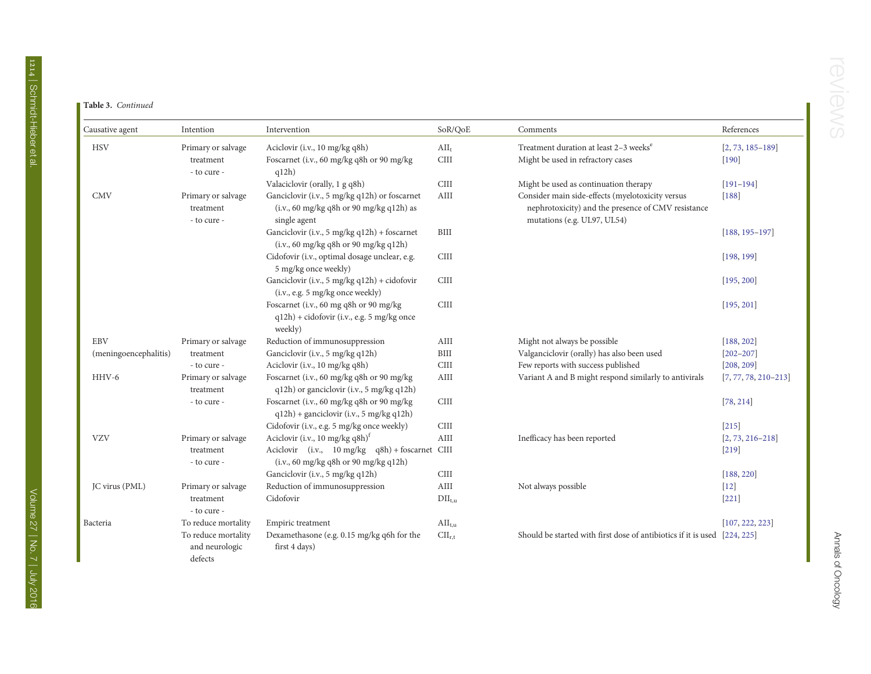#### Table 3. Continued

| Causative agent       | Intention                                        | Intervention                                                                                              | SoR/QoE                   | Comments                                                                                                                              | References               |
|-----------------------|--------------------------------------------------|-----------------------------------------------------------------------------------------------------------|---------------------------|---------------------------------------------------------------------------------------------------------------------------------------|--------------------------|
| <b>HSV</b>            | Primary or salvage                               | Aciclovir (i.v., 10 mg/kg q8h)                                                                            | $\text{AII}_{t}$          | Treatment duration at least 2-3 weeks <sup>e</sup>                                                                                    | $[2, 73, 185 - 189]$     |
|                       | treatment<br>- to cure -                         | Foscarnet (i.v., 60 mg/kg q8h or 90 mg/kg<br>q12h)                                                        | <b>CIII</b>               | Might be used in refractory cases                                                                                                     | $[190]$                  |
|                       |                                                  | Valaciclovir (orally, 1 g q8h)                                                                            | <b>CIII</b>               | Might be used as continuation therapy                                                                                                 | $[191 - 194]$            |
| <b>CMV</b>            | Primary or salvage<br>treatment<br>- to cure -   | Ganciclovir (i.v., 5 mg/kg q12h) or foscarnet<br>(i.v., 60 mg/kg q8h or 90 mg/kg q12h) as<br>single agent | AIII                      | Consider main side-effects (myelotoxicity versus<br>nephrotoxicity) and the presence of CMV resistance<br>mutations (e.g. UL97, UL54) | $[188]$                  |
|                       |                                                  | Ganciclovir (i.v., 5 mg/kg q12h) + foscarnet<br>(i.v., 60 mg/kg q8h or 90 mg/kg q12h)                     | <b>BIII</b>               |                                                                                                                                       | $[188, 195 - 197]$       |
|                       |                                                  | Cidofovir (i.v., optimal dosage unclear, e.g.<br>5 mg/kg once weekly)                                     | <b>CIII</b>               |                                                                                                                                       | [198, 199]               |
|                       |                                                  | Ganciclovir (i.v., 5 mg/kg q12h) + cidofovir<br>(i.v., e.g. 5 mg/kg once weekly)                          | <b>CIII</b>               |                                                                                                                                       | [195, 200]               |
|                       |                                                  | Foscarnet (i.v., 60 mg q8h or 90 mg/kg<br>q12h) + cidofovir (i.v., e.g. 5 mg/kg once<br>weekly)           | <b>CIII</b>               |                                                                                                                                       | [195, 201]               |
| <b>EBV</b>            | Primary or salvage                               | Reduction of immunosuppression                                                                            | AIII                      | Might not always be possible                                                                                                          | [188, 202]               |
| (meningoencephalitis) | treatment                                        | Ganciclovir (i.v., 5 mg/kg q12h)                                                                          | BIII                      | Valganciclovir (orally) has also been used                                                                                            | $[202 - 207]$            |
|                       | - to cure -                                      | Aciclovir (i.v., 10 mg/kg q8h)                                                                            | <b>CIII</b>               | Few reports with success published                                                                                                    | [208, 209]               |
| HHV-6                 | Primary or salvage<br>treatment                  | Foscarnet (i.v., 60 mg/kg q8h or 90 mg/kg<br>q12h) or ganciclovir (i.v., 5 mg/kg q12h)                    | AIII                      | Variant A and B might respond similarly to antivirals                                                                                 | $[7, 77, 78, 210 - 213]$ |
|                       | - to cure -                                      | Foscarnet (i.v., 60 mg/kg q8h or 90 mg/kg<br>$q12h$ ) + ganciclovir (i.v., 5 mg/kg q12h)                  | <b>CIII</b>               |                                                                                                                                       | [78, 214]                |
|                       |                                                  | Cidofovir (i.v., e.g. 5 mg/kg once weekly)                                                                | <b>CIII</b>               |                                                                                                                                       | $[215]$                  |
| <b>VZV</b>            | Primary or salvage                               | Aciclovir (i.v., 10 mg/kg q8h) <sup>t</sup>                                                               | AIII                      | Inefficacy has been reported                                                                                                          | $[2, 73, 216 - 218]$     |
|                       | treatment<br>- to cure -                         | Aciclovir (i.v., 10 mg/kg q8h) + foscarnet CIII<br>(i.v., 60 mg/kg q8h or 90 mg/kg q12h)                  |                           |                                                                                                                                       | $[219]$                  |
|                       |                                                  | Ganciclovir (i.v., 5 mg/kg q12h)                                                                          | <b>CIII</b>               |                                                                                                                                       | [188, 220]               |
| JC virus (PML)        | Primary or salvage                               | Reduction of immunosuppression                                                                            | AIII                      | Not always possible                                                                                                                   | $[12]$                   |
|                       | treatment<br>- to cure -                         | Cidofovir                                                                                                 | $\text{DII}_{t,u}$        |                                                                                                                                       | $[221]$                  |
| Bacteria              | To reduce mortality                              | Empiric treatment                                                                                         | $\text{AII}_{t,u}$        |                                                                                                                                       | [107, 222, 223]          |
|                       | To reduce mortality<br>and neurologic<br>defects | Dexamethasone (e.g. 0.15 mg/kg q6h for the<br>first 4 days)                                               | $\text{CII}_{\text{r,t}}$ | Should be started with first dose of antibiotics if it is used [224, 225]                                                             |                          |

I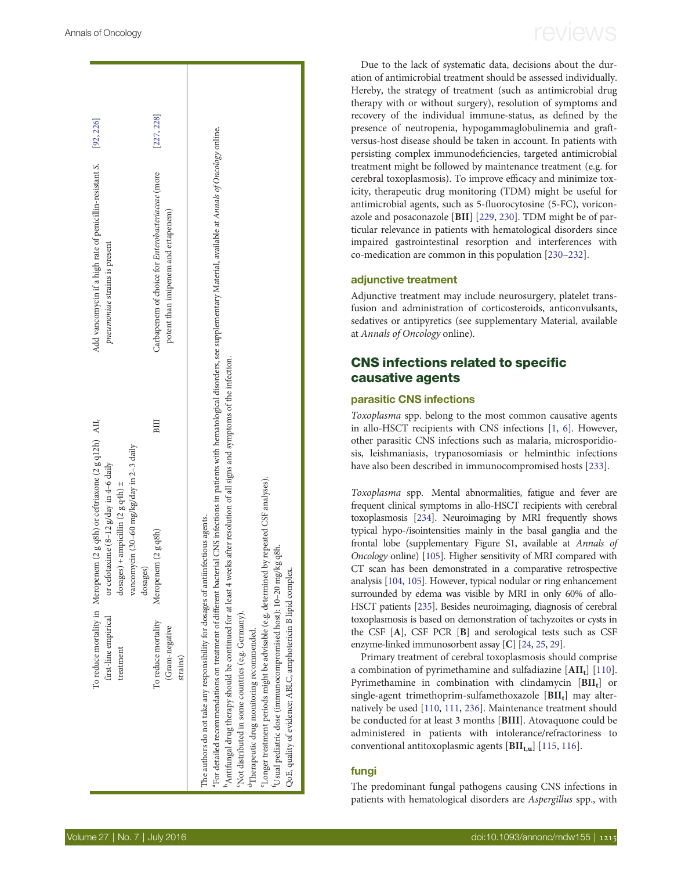| first-line empirical<br>treatment                                                                                                                                                                                                                                                                                                                                                                                                                                                                                                                                             | To reduce mortality in Meropenem (2 g q8h) or ceftriaxone (2 g q12h) AII <sub>t</sub><br>vancomycin (30-60 mg/kg/day in 2-3 daily<br>or cefotaxime $(8-12 \text{ g/day in } 4-6 \text{ daily})$<br>dosages) + ampicillin (2 g q4h) $\pm$<br>dosages) |             | Add vancomycin if a high rate of penicillin-resistant S.<br>pneumoniae strains is present                                                                                                                  | [92, 226]  |
|-------------------------------------------------------------------------------------------------------------------------------------------------------------------------------------------------------------------------------------------------------------------------------------------------------------------------------------------------------------------------------------------------------------------------------------------------------------------------------------------------------------------------------------------------------------------------------|------------------------------------------------------------------------------------------------------------------------------------------------------------------------------------------------------------------------------------------------------|-------------|------------------------------------------------------------------------------------------------------------------------------------------------------------------------------------------------------------|------------|
| To reduce mortality<br>(Gram-negative<br>strains)                                                                                                                                                                                                                                                                                                                                                                                                                                                                                                                             | Meropenem (2 g q8h)                                                                                                                                                                                                                                  | $_{\rm BH}$ | Carbapenem of choice for Enterobacteriaceae (more<br>potent than imipenem and ertapenem)                                                                                                                   | [227, 228] |
| "Antifungal drug therapy should be continued for at least 4 weeks after resolution of all signs and symptoms of the infection.<br>Longer treatment periods might be advisable (e.g. determined by repeated CSF analyses).<br>The authors do not take any responsibility for dosages of antiinfectious agents.<br><sup>t</sup> Usual pediatric dose (immunocompromised host): 10-20 mg/kg q8h.<br>QoE, quality of evidence; ABLC, amphotericin B lipid complex.<br>'Not distributed in some countries (e.g. Germany).<br><sup>d</sup> Therapeutic drug monitoring recommended. |                                                                                                                                                                                                                                                      |             | <sup>a</sup> For detailed recommendations on treatment of different bacterial CNS infections in patients with hematological disorders, see supplementary Material, available at Annals of Oncology online. |            |

Due to the lack of systematic data, decisions about the duration of antimicrobial treatment should be assessed individually. Hereby, the strategy of treatment (such as antimicrobial drug therapy with or without surgery), resolution of symptoms and recovery of the individual immune-status, as defined by the presence of neutropenia, hypogammaglobulinemia and graftversus-host disease should be taken in account. In patients with persisting complex immunodeficiencies, targeted antimicrobial treatment might be followed by maintenance treatment (e.g. for cerebral toxoplasmosis). To improve efficacy and minimize toxicity, therapeutic drug monitoring (TDM) might be useful for antimicrobial agents, such as 5-fluorocytosine (5-FC), voriconazole and posaconazole [BII] [[229](#page-17-0), [230](#page-17-0)]. TDM might be of particular relevance in patients with hematological disorders since impaired gastrointestinal resorption and interferences with co-medication are common in this population [\[230](#page-17-0)–[232](#page-17-0)].

#### adjunctive treatment

Adjunctive treatment may include neurosurgery, platelet transfusion and administration of corticosteroids, anticonvulsants, sedatives or antipyretics (see [supplementary Material, available](http://annonc.oxfordjournals.org/lookup/suppl/doi:10.1093/annonc/mdw155/-/DC1) at [Annals of Oncology](http://annonc.oxfordjournals.org/lookup/suppl/doi:10.1093/annonc/mdw155/-/DC1) online).

### CNS infections related to specific causative agents

#### parasitic CNS infections

Toxoplasma spp. belong to the most common causative agents in allo-HSCT recipients with CNS infections [\[1,](#page-12-0) [6](#page-12-0)]. However, other parasitic CNS infections such as malaria, microsporidiosis, leishmaniasis, trypanosomiasis or helminthic infections have also been described in immunocompromised hosts [\[233\]](#page-17-0).

Toxoplasma spp. Mental abnormalities, fatigue and fever are frequent clinical symptoms in allo-HSCT recipients with cerebral toxoplasmosis [\[234\]](#page-17-0). Neuroimaging by MRI frequently shows typical hypo-/isointensities mainly in the basal ganglia and the frontal lobe [\(supplementary Figure S1, available at](http://annonc.oxfordjournals.org/lookup/suppl/doi:10.1093/annonc/mdw155/-/DC1) Annals of [Oncology](http://annonc.oxfordjournals.org/lookup/suppl/doi:10.1093/annonc/mdw155/-/DC1) online) [\[105](#page-14-0)]. Higher sensitivity of MRI compared with CT scan has been demonstrated in a comparative retrospective analysis [[104,](#page-14-0) [105](#page-14-0)]. However, typical nodular or ring enhancement surrounded by edema was visible by MRI in only 60% of allo-HSCT patients [\[235\]](#page-17-0). Besides neuroimaging, diagnosis of cerebral toxoplasmosis is based on demonstration of tachyzoites or cysts in the CSF [A], CSF PCR [B] and serological tests such as CSF enzyme-linked immunosorbent assay [C] [\[24,](#page-12-0) [25,](#page-12-0) [29\]](#page-12-0).

Primary treatment of cerebral toxoplasmosis should comprise a combination of pyrimethamine and sulfadiazine  $[**AII**<sub>t</sub>]$  [[110\]](#page-14-0). Pyrimethamine in combination with clindamycin [BII<sub>t</sub>] or single-agent trimethoprim-sulfamethoxazole  $[BII_t]$  may alternatively be used [[110](#page-14-0), [111,](#page-14-0) [236](#page-17-0)]. Maintenance treatment should be conducted for at least 3 months [BIII]. Atovaquone could be administered in patients with intolerance/refractoriness to conventional antitoxoplasmic agents  $[BII_{t,u}]$  [\[115](#page-14-0), [116](#page-14-0)].

#### fungi

The predominant fungal pathogens causing CNS infections in patients with hematological disorders are Aspergillus spp., with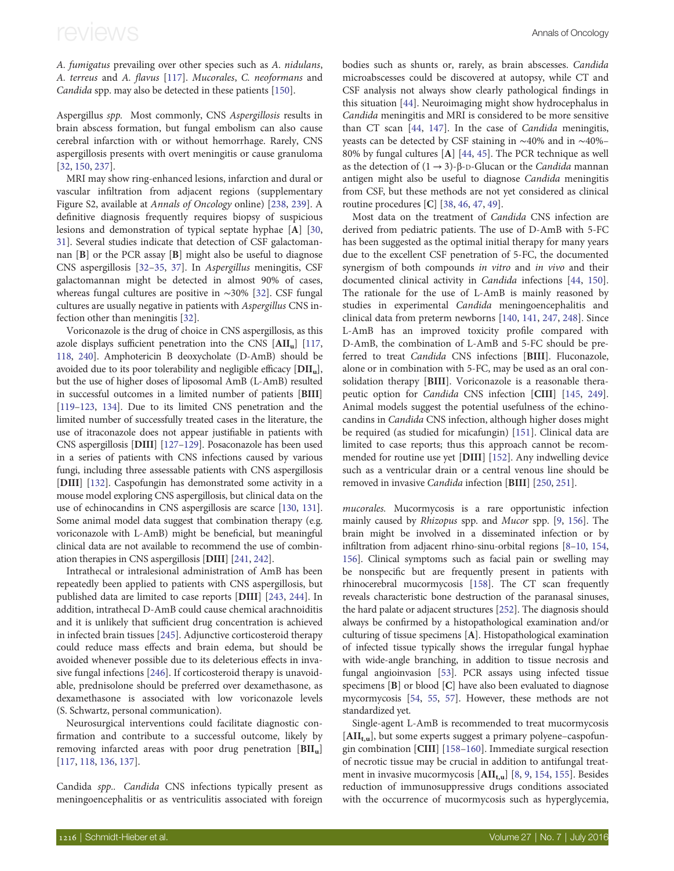A. fumigatus prevailing over other species such as A. nidulans, A. terreus and A. flavus [[117\]](#page-14-0). Mucorales, C. neoformans and Candida spp. may also be detected in these patients [[150](#page-15-0)].

Aspergillus spp. Most commonly, CNS Aspergillosis results in brain abscess formation, but fungal embolism can also cause cerebral infarction with or without hemorrhage. Rarely, CNS aspergillosis presents with overt meningitis or cause granuloma [[32,](#page-12-0) [150,](#page-15-0) [237\]](#page-17-0).

MRI may show ring-enhanced lesions, infarction and dural or vascular infiltration from adjacent regions ([supplementary](http://annonc.oxfordjournals.org/lookup/suppl/doi:10.1093/annonc/mdw155/-/DC1) [Figure S2, available at](http://annonc.oxfordjournals.org/lookup/suppl/doi:10.1093/annonc/mdw155/-/DC1) Annals of Oncology online) [\[238](#page-17-0), [239\]](#page-17-0). A definitive diagnosis frequently requires biopsy of suspicious lesions and demonstration of typical septate hyphae [A] [\[30](#page-12-0), [31](#page-12-0)]. Several studies indicate that detection of CSF galactomannan [B] or the PCR assay [B] might also be useful to diagnose CNS aspergillosis [\[32](#page-12-0)–[35](#page-12-0), [37\]](#page-13-0). In Aspergillus meningitis, CSF galactomannan might be detected in almost 90% of cases, whereas fungal cultures are positive in ∼30% [[32\]](#page-12-0). CSF fungal cultures are usually negative in patients with Aspergillus CNS infection other than meningitis [[32\]](#page-12-0).

Voriconazole is the drug of choice in CNS aspergillosis, as this azole displays sufficient penetration into the CNS  $[AlII<sub>u</sub>]$  [[117](#page-14-0), [118,](#page-14-0) [240\]](#page-17-0). Amphotericin B deoxycholate (D-AmB) should be avoided due to its poor tolerability and negligible efficacy  $[DII_n]$ , but the use of higher doses of liposomal AmB (L-AmB) resulted in successful outcomes in a limited number of patients [BIII] [\[119](#page-14-0)–[123](#page-15-0), [134](#page-15-0)]. Due to its limited CNS penetration and the limited number of successfully treated cases in the literature, the use of itraconazole does not appear justifiable in patients with CNS aspergillosis [DIII] [\[127](#page-15-0)–[129](#page-15-0)]. Posaconazole has been used in a series of patients with CNS infections caused by various fungi, including three assessable patients with CNS aspergillosis [DIII] [[132](#page-15-0)]. Caspofungin has demonstrated some activity in a mouse model exploring CNS aspergillosis, but clinical data on the use of echinocandins in CNS aspergillosis are scarce [\[130](#page-15-0), [131](#page-15-0)]. Some animal model data suggest that combination therapy (e.g. voriconazole with L-AmB) might be beneficial, but meaningful clinical data are not available to recommend the use of combination therapies in CNS aspergillosis [DIII] [\[241](#page-17-0), [242\]](#page-17-0).

Intrathecal or intralesional administration of AmB has been repeatedly been applied to patients with CNS aspergillosis, but published data are limited to case reports [DIII] [\[243,](#page-17-0) [244\]](#page-17-0). In addition, intrathecal D-AmB could cause chemical arachnoiditis and it is unlikely that sufficient drug concentration is achieved in infected brain tissues [[245](#page-17-0)]. Adjunctive corticosteroid therapy could reduce mass effects and brain edema, but should be avoided whenever possible due to its deleterious effects in invasive fungal infections [\[246](#page-17-0)]. If corticosteroid therapy is unavoidable, prednisolone should be preferred over dexamethasone, as dexamethasone is associated with low voriconazole levels (S. Schwartz, personal communication).

Neurosurgical interventions could facilitate diagnostic confirmation and contribute to a successful outcome, likely by removing infarcted areas with poor drug penetration  $[BII_u]$ [[117](#page-14-0), [118](#page-14-0), [136](#page-15-0), [137](#page-15-0)].

Candida spp.. Candida CNS infections typically present as meningoencephalitis or as ventriculitis associated with foreign bodies such as shunts or, rarely, as brain abscesses. Candida microabscesses could be discovered at autopsy, while CT and CSF analysis not always show clearly pathological findings in this situation [[44\]](#page-13-0). Neuroimaging might show hydrocephalus in Candida meningitis and MRI is considered to be more sensitive than CT scan [[44](#page-13-0), [147](#page-15-0)]. In the case of Candida meningitis, yeasts can be detected by CSF staining in ∼40% and in ∼40%– 80% by fungal cultures [A] [[44,](#page-13-0) [45\]](#page-13-0). The PCR technique as well as the detection of  $(1 \rightarrow 3)$ -β-D-Glucan or the *Candida* mannan antigen might also be useful to diagnose Candida meningitis from CSF, but these methods are not yet considered as clinical routine procedures [C] [[38](#page-13-0), [46](#page-13-0), [47,](#page-13-0) [49](#page-13-0)].

Most data on the treatment of Candida CNS infection are derived from pediatric patients. The use of D-AmB with 5-FC has been suggested as the optimal initial therapy for many years due to the excellent CSF penetration of 5-FC, the documented synergism of both compounds in vitro and in vivo and their documented clinical activity in Candida infections [[44,](#page-13-0) [150\]](#page-15-0). The rationale for the use of L-AmB is mainly reasoned by studies in experimental Candida meningoencephalitis and clinical data from preterm newborns [\[140,](#page-15-0) [141](#page-15-0), [247,](#page-17-0) [248](#page-17-0)]. Since L-AmB has an improved toxicity profile compared with D-AmB, the combination of L-AmB and 5-FC should be preferred to treat Candida CNS infections [BIII]. Fluconazole, alone or in combination with 5-FC, may be used as an oral consolidation therapy [BIII]. Voriconazole is a reasonable therapeutic option for Candida CNS infection [CIII] [[145](#page-15-0), [249\]](#page-17-0). Animal models suggest the potential usefulness of the echinocandins in Candida CNS infection, although higher doses might be required (as studied for micafungin) [[151](#page-15-0)]. Clinical data are limited to case reports; thus this approach cannot be recommended for routine use yet [DIII] [\[152\]](#page-15-0). Any indwelling device such as a ventricular drain or a central venous line should be removed in invasive Candida infection [BIII] [\[250](#page-17-0), [251](#page-17-0)].

mucorales. Mucormycosis is a rare opportunistic infection mainly caused by Rhizopus spp. and Mucor spp. [\[9,](#page-12-0) [156\]](#page-15-0). The brain might be involved in a disseminated infection or by infiltration from adjacent rhino-sinu-orbital regions [\[8](#page-12-0)–[10](#page-12-0), [154](#page-15-0), [156\]](#page-15-0). Clinical symptoms such as facial pain or swelling may be nonspecific but are frequently present in patients with rhinocerebral mucormycosis [\[158](#page-15-0)]. The CT scan frequently reveals characteristic bone destruction of the paranasal sinuses, the hard palate or adjacent structures [[252](#page-17-0)]. The diagnosis should always be confirmed by a histopathological examination and/or culturing of tissue specimens [A]. Histopathological examination of infected tissue typically shows the irregular fungal hyphae with wide-angle branching, in addition to tissue necrosis and fungal angioinvasion [\[53\]](#page-13-0). PCR assays using infected tissue specimens [B] or blood [C] have also been evaluated to diagnose mycormycosis [[54,](#page-13-0) [55,](#page-13-0) [57\]](#page-13-0). However, these methods are not standardized yet.

Single-agent L-AmB is recommended to treat mucormycosis  $[AII_{t,u}]$ , but some experts suggest a primary polyene–caspofungin combination [CIII] [[158](#page-15-0)–[160](#page-15-0)]. Immediate surgical resection of necrotic tissue may be crucial in addition to antifungal treatment in invasive mucormycosis  $\left[ \text{AII}_{\text{t,u}} \right]$  [[8](#page-12-0), [9](#page-12-0), [154,](#page-15-0) [155\]](#page-15-0). Besides reduction of immunosuppressive drugs conditions associated with the occurrence of mucormycosis such as hyperglycemia,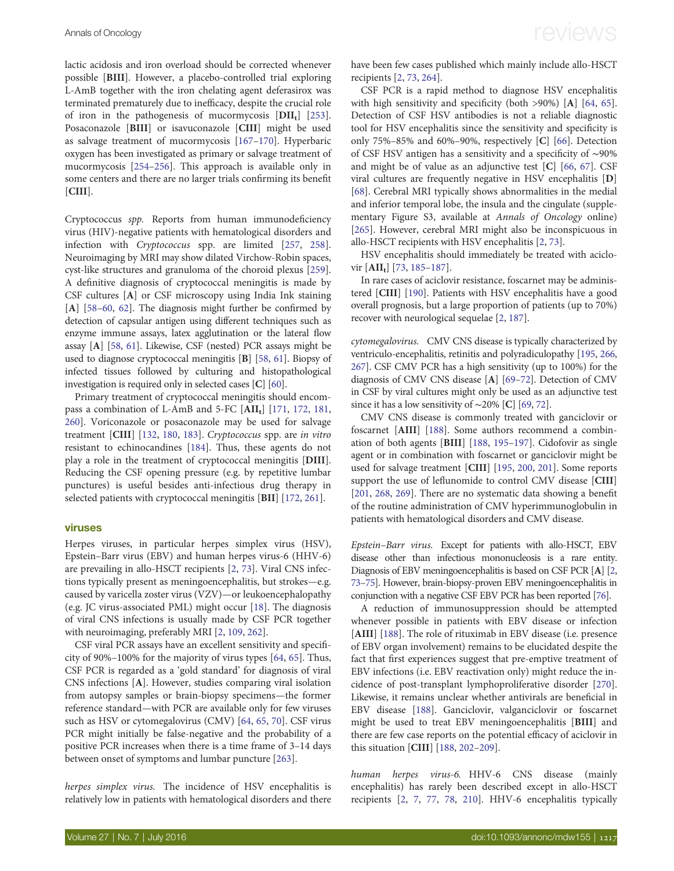lactic acidosis and iron overload should be corrected whenever possible [BIII]. However, a placebo-controlled trial exploring L-AmB together with the iron chelating agent deferasirox was terminated prematurely due to inefficacy, despite the crucial role of iron in the pathogenesis of mucormycosis  $[DII_t]$  [[253\]](#page-17-0). Posaconazole [BIII] or isavuconazole [CIII] might be used as salvage treatment of mucormycosis [[167](#page-16-0)–[170\]](#page-16-0). Hyperbaric oxygen has been investigated as primary or salvage treatment of mucormycosis [[254](#page-17-0)–[256](#page-18-0)]. This approach is available only in some centers and there are no larger trials confirming its benefit [CIII].

Cryptococcus spp. Reports from human immunodeficiency virus (HIV)-negative patients with hematological disorders and infection with Cryptococcus spp. are limited [[257,](#page-18-0) [258\]](#page-18-0). Neuroimaging by MRI may show dilated Virchow-Robin spaces, cyst-like structures and granuloma of the choroid plexus [[259\]](#page-18-0). A definitive diagnosis of cryptococcal meningitis is made by CSF cultures [A] or CSF microscopy using India Ink staining [A] [\[58](#page-13-0)–[60](#page-13-0), [62](#page-13-0)]. The diagnosis might further be confirmed by detection of capsular antigen using different techniques such as enzyme immune assays, latex agglutination or the lateral flow assay [A] [[58,](#page-13-0) [61\]](#page-13-0). Likewise, CSF (nested) PCR assays might be used to diagnose cryptococcal meningitis [B] [\[58,](#page-13-0) [61\]](#page-13-0). Biopsy of infected tissues followed by culturing and histopathological investigation is required only in selected cases [C] [[60\]](#page-13-0).

Primary treatment of cryptococcal meningitis should encom-pass a combination of L-AmB and 5-FC [AII<sub>t</sub>] [\[171](#page-16-0), [172](#page-16-0), [181,](#page-16-0) [260\]](#page-18-0). Voriconazole or posaconazole may be used for salvage treatment [CIII] [[132,](#page-15-0) [180](#page-16-0), [183](#page-16-0)]. Cryptococcus spp. are in vitro resistant to echinocandines [\[184\]](#page-16-0). Thus, these agents do not play a role in the treatment of cryptococcal meningitis [DIII]. Reducing the CSF opening pressure (e.g. by repetitive lumbar punctures) is useful besides anti-infectious drug therapy in selected patients with cryptococcal meningitis [BII] [[172,](#page-16-0) [261\]](#page-18-0).

#### viruses

Herpes viruses, in particular herpes simplex virus (HSV), Epstein–Barr virus (EBV) and human herpes virus-6 (HHV-6) are prevailing in allo-HSCT recipients [\[2,](#page-12-0) [73\]](#page-13-0). Viral CNS infections typically present as meningoencephalitis, but strokes—e.g. caused by varicella zoster virus (VZV)—or leukoencephalopathy (e.g. JC virus-associated PML) might occur [[18\]](#page-12-0). The diagnosis of viral CNS infections is usually made by CSF PCR together with neuroimaging, preferably MRI [\[2,](#page-12-0) [109,](#page-14-0) [262\]](#page-18-0).

CSF viral PCR assays have an excellent sensitivity and specificity of 90%–100% for the majority of virus types [[64,](#page-13-0) [65\]](#page-13-0). Thus, CSF PCR is regarded as a 'gold standard' for diagnosis of viral CNS infections [A]. However, studies comparing viral isolation from autopsy samples or brain-biopsy specimens—the former reference standard—with PCR are available only for few viruses such as HSV or cytomegalovirus (CMV) [\[64](#page-13-0), [65](#page-13-0), [70\]](#page-13-0). CSF virus PCR might initially be false-negative and the probability of a positive PCR increases when there is a time frame of 3–14 days between onset of symptoms and lumbar puncture [\[263\]](#page-18-0).

herpes simplex virus. The incidence of HSV encephalitis is relatively low in patients with hematological disorders and there have been few cases published which mainly include allo-HSCT recipients [[2,](#page-12-0) [73,](#page-13-0) [264\]](#page-18-0).

CSF PCR is a rapid method to diagnose HSV encephalitis with high sensitivity and specificity (both >90%) [A] [[64,](#page-13-0) [65\]](#page-13-0). Detection of CSF HSV antibodies is not a reliable diagnostic tool for HSV encephalitis since the sensitivity and specificity is only 75%–85% and 60%–90%, respectively [C] [\[66](#page-13-0)]. Detection of CSF HSV antigen has a sensitivity and a specificity of ∼90% and might be of value as an adjunctive test [C] [[66,](#page-13-0) [67](#page-13-0)]. CSF viral cultures are frequently negative in HSV encephalitis [D] [\[68](#page-13-0)]. Cerebral MRI typically shows abnormalities in the medial and inferior temporal lobe, the insula and the cingulate ([supple](http://annonc.oxfordjournals.org/lookup/suppl/doi:10.1093/annonc/mdw155/-/DC1)[mentary Figure S3, available at](http://annonc.oxfordjournals.org/lookup/suppl/doi:10.1093/annonc/mdw155/-/DC1) Annals of Oncology online) [\[265\]](#page-18-0). However, cerebral MRI might also be inconspicuous in allo-HSCT recipients with HSV encephalitis [\[2,](#page-12-0) [73](#page-13-0)].

HSV encephalitis should immediately be treated with aciclovir  $[AlI_t]$  [[73,](#page-13-0) [185](#page-16-0)–[187](#page-16-0)].

In rare cases of aciclovir resistance, foscarnet may be administered [CIII] [[190\]](#page-16-0). Patients with HSV encephalitis have a good overall prognosis, but a large proportion of patients (up to 70%) recover with neurological sequelae [\[2](#page-12-0), [187\]](#page-16-0).

cytomegalovirus. CMV CNS disease is typically characterized by ventriculo-encephalitis, retinitis and polyradiculopathy [[195](#page-16-0), [266,](#page-18-0) [267](#page-18-0)]. CSF CMV PCR has a high sensitivity (up to 100%) for the diagnosis of CMV CNS disease [A] [\[69](#page-13-0)–[72](#page-13-0)]. Detection of CMV in CSF by viral cultures might only be used as an adjunctive test since it has a low sensitivity of ∼20% [C] [\[69](#page-13-0), [72](#page-13-0)].

CMV CNS disease is commonly treated with ganciclovir or foscarnet [AIII] [[188](#page-16-0)]. Some authors recommend a combination of both agents [BIII] [[188](#page-16-0), [195](#page-16-0)–[197\]](#page-16-0). Cidofovir as single agent or in combination with foscarnet or ganciclovir might be used for salvage treatment [CIII] [[195,](#page-16-0) [200](#page-16-0), [201\]](#page-16-0). Some reports support the use of leflunomide to control CMV disease [CIII] [\[201,](#page-16-0) [268,](#page-18-0) [269](#page-18-0)]. There are no systematic data showing a benefit of the routine administration of CMV hyperimmunoglobulin in patients with hematological disorders and CMV disease.

Epstein–Barr virus. Except for patients with allo-HSCT, EBV disease other than infectious mononucleosis is a rare entity. Diagnosis of EBV meningoencephalitis is based on CSF PCR [A] [[2,](#page-12-0) [73](#page-13-0)–[75\]](#page-13-0). However, brain-biopsy-proven EBV meningoencephalitis in conjunction with a negative CSF EBV PCR has been reported [\[76\]](#page-13-0).

A reduction of immunosuppression should be attempted whenever possible in patients with EBV disease or infection [AIII] [\[188](#page-16-0)]. The role of rituximab in EBV disease (i.e. presence of EBV organ involvement) remains to be elucidated despite the fact that first experiences suggest that pre-emptive treatment of EBV infections (i.e. EBV reactivation only) might reduce the incidence of post-transplant lymphoproliferative disorder [[270\]](#page-18-0). Likewise, it remains unclear whether antivirals are beneficial in EBV disease [[188\]](#page-16-0). Ganciclovir, valganciclovir or foscarnet might be used to treat EBV meningoencephalitis [BIII] and there are few case reports on the potential efficacy of aciclovir in this situation [CIII] [\[188,](#page-16-0) [202](#page-16-0)–[209](#page-16-0)].

human herpes virus-6. HHV-6 CNS disease (mainly encephalitis) has rarely been described except in allo-HSCT recipients [\[2,](#page-12-0) [7](#page-12-0), [77,](#page-13-0) [78](#page-13-0), [210](#page-16-0)]. HHV-6 encephalitis typically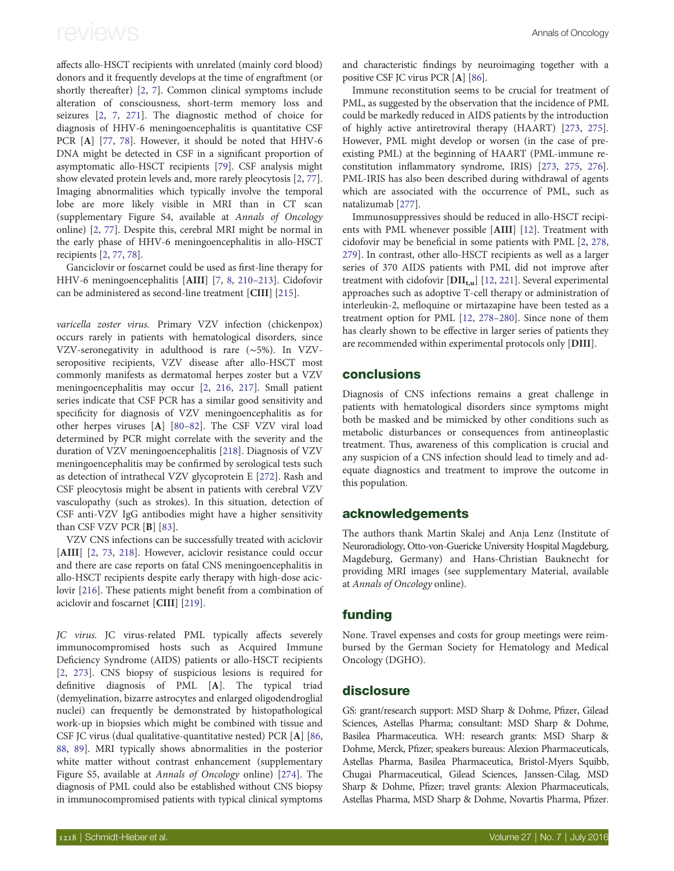affects allo-HSCT recipients with unrelated (mainly cord blood) donors and it frequently develops at the time of engraftment (or shortly thereafter) [[2](#page-12-0), [7\]](#page-12-0). Common clinical symptoms include alteration of consciousness, short-term memory loss and seizures [[2](#page-12-0), [7,](#page-12-0) [271](#page-18-0)]. The diagnostic method of choice for diagnosis of HHV-6 meningoencephalitis is quantitative CSF PCR [A] [\[77,](#page-13-0) [78\]](#page-13-0). However, it should be noted that HHV-6 DNA might be detected in CSF in a significant proportion of asymptomatic allo-HSCT recipients [\[79](#page-13-0)]. CSF analysis might show elevated protein levels and, more rarely pleocytosis [[2](#page-12-0), [77\]](#page-13-0). Imaging abnormalities which typically involve the temporal lobe are more likely visible in MRI than in CT scan ([supplementary Figure S4, available at](http://annonc.oxfordjournals.org/lookup/suppl/doi:10.1093/annonc/mdw155/-/DC1) Annals of Oncology [online](http://annonc.oxfordjournals.org/lookup/suppl/doi:10.1093/annonc/mdw155/-/DC1)) [[2](#page-12-0), [77\]](#page-13-0). Despite this, cerebral MRI might be normal in the early phase of HHV-6 meningoencephalitis in allo-HSCT recipients [\[2,](#page-12-0) [77](#page-13-0), [78\]](#page-13-0).

Ganciclovir or foscarnet could be used as first-line therapy for HHV-6 meningoencephalitis [AIII] [\[7,](#page-12-0) [8,](#page-12-0) [210](#page-16-0)–[213](#page-17-0)]. Cidofovir can be administered as second-line treatment [CIII] [\[215\]](#page-17-0).

varicella zoster virus. Primary VZV infection (chickenpox) occurs rarely in patients with hematological disorders, since VZV-seronegativity in adulthood is rare (∼5%). In VZVseropositive recipients, VZV disease after allo-HSCT most commonly manifests as dermatomal herpes zoster but a VZV meningoencephalitis may occur [[2](#page-12-0), [216](#page-17-0), [217\]](#page-17-0). Small patient series indicate that CSF PCR has a similar good sensitivity and specificity for diagnosis of VZV meningoencephalitis as for other herpes viruses [A] [\[80](#page-13-0)–[82](#page-14-0)]. The CSF VZV viral load determined by PCR might correlate with the severity and the duration of VZV meningoencephalitis [[218](#page-17-0)]. Diagnosis of VZV meningoencephalitis may be confirmed by serological tests such as detection of intrathecal VZV glycoprotein E [[272\]](#page-18-0). Rash and CSF pleocytosis might be absent in patients with cerebral VZV vasculopathy (such as strokes). In this situation, detection of CSF anti-VZV IgG antibodies might have a higher sensitivity than CSF VZV PCR [B] [\[83](#page-14-0)].

VZV CNS infections can be successfully treated with aciclovir [AIII] [\[2](#page-12-0), [73](#page-13-0), [218\]](#page-17-0). However, aciclovir resistance could occur and there are case reports on fatal CNS meningoencephalitis in allo-HSCT recipients despite early therapy with high-dose aciclovir [\[216](#page-17-0)]. These patients might benefit from a combination of aciclovir and foscarnet [CIII] [[219](#page-17-0)].

JC virus. JC virus-related PML typically affects severely immunocompromised hosts such as Acquired Immune Deficiency Syndrome (AIDS) patients or allo-HSCT recipients [[2](#page-12-0), [273](#page-18-0)]. CNS biopsy of suspicious lesions is required for definitive diagnosis of PML [A]. The typical triad (demyelination, bizarre astrocytes and enlarged oligodendroglial nuclei) can frequently be demonstrated by histopathological work-up in biopsies which might be combined with tissue and CSF JC virus (dual qualitative-quantitative nested) PCR [A] [\[86](#page-14-0), [88](#page-14-0), [89](#page-14-0)]. MRI typically shows abnormalities in the posterior white matter without contrast enhancement ([supplementary](http://annonc.oxfordjournals.org/lookup/suppl/doi:10.1093/annonc/mdw155/-/DC1) [Figure S5, available at](http://annonc.oxfordjournals.org/lookup/suppl/doi:10.1093/annonc/mdw155/-/DC1) Annals of Oncology online) [[274](#page-18-0)]. The diagnosis of PML could also be established without CNS biopsy in immunocompromised patients with typical clinical symptoms and characteristic findings by neuroimaging together with a positive CSF JC virus PCR [A] [[86\]](#page-14-0).

Immune reconstitution seems to be crucial for treatment of PML, as suggested by the observation that the incidence of PML could be markedly reduced in AIDS patients by the introduction of highly active antiretroviral therapy (HAART) [\[273](#page-18-0), [275\]](#page-18-0). However, PML might develop or worsen (in the case of preexisting PML) at the beginning of HAART (PML-immune reconstitution inflammatory syndrome, IRIS) [\[273,](#page-18-0) [275,](#page-18-0) [276\]](#page-18-0). PML-IRIS has also been described during withdrawal of agents which are associated with the occurrence of PML, such as natalizumab [\[277](#page-18-0)].

Immunosuppressives should be reduced in allo-HSCT recipients with PML whenever possible [AIII] [[12](#page-12-0)]. Treatment with cidofovir may be beneficial in some patients with PML [[2,](#page-12-0) [278](#page-18-0), [279\]](#page-18-0). In contrast, other allo-HSCT recipients as well as a larger series of 370 AIDS patients with PML did not improve after treatment with cidofovir  $\text{[DII}_{t,u}]\,$  [\[12](#page-12-0), [221](#page-17-0)]. Several experimental approaches such as adoptive T-cell therapy or administration of interleukin-2, mefloquine or mirtazapine have been tested as a treatment option for PML [\[12,](#page-12-0) [278](#page-18-0)–[280](#page-18-0)]. Since none of them has clearly shown to be effective in larger series of patients they are recommended within experimental protocols only [DIII].

#### conclusions

Diagnosis of CNS infections remains a great challenge in patients with hematological disorders since symptoms might both be masked and be mimicked by other conditions such as metabolic disturbances or consequences from antineoplastic treatment. Thus, awareness of this complication is crucial and any suspicion of a CNS infection should lead to timely and adequate diagnostics and treatment to improve the outcome in this population.

#### acknowledgements

The authors thank Martin Skalej and Anja Lenz (Institute of Neuroradiology, Otto-von-Guericke University Hospital Magdeburg, Magdeburg, Germany) and Hans-Christian Bauknecht for providing MRI images (see [supplementary Material, available](http://annonc.oxfordjournals.org/lookup/suppl/doi:10.1093/annonc/mdw155/-/DC1) at [Annals of Oncology](http://annonc.oxfordjournals.org/lookup/suppl/doi:10.1093/annonc/mdw155/-/DC1) online).

#### funding

None. Travel expenses and costs for group meetings were reimbursed by the German Society for Hematology and Medical Oncology (DGHO).

#### disclosure

GS: grant/research support: MSD Sharp & Dohme, Pfizer, Gilead Sciences, Astellas Pharma; consultant: MSD Sharp & Dohme, Basilea Pharmaceutica. WH: research grants: MSD Sharp & Dohme, Merck, Pfizer; speakers bureaus: Alexion Pharmaceuticals, Astellas Pharma, Basilea Pharmaceutica, Bristol-Myers Squibb, Chugai Pharmaceutical, Gilead Sciences, Janssen-Cilag, MSD Sharp & Dohme, Pfizer; travel grants: Alexion Pharmaceuticals, Astellas Pharma, MSD Sharp & Dohme, Novartis Pharma, Pfizer.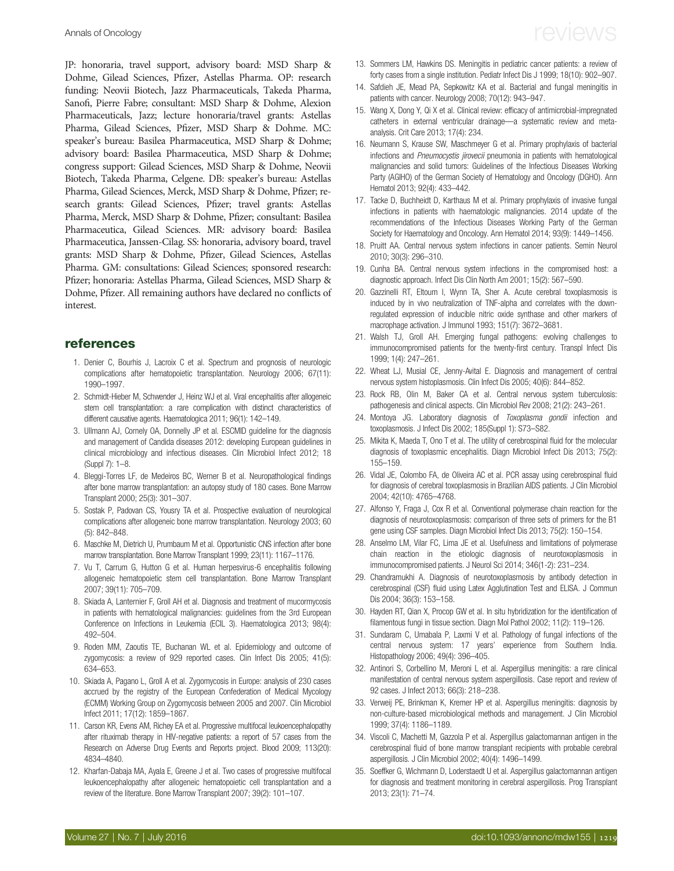<span id="page-12-0"></span>JP: honoraria, travel support, advisory board: MSD Sharp & Dohme, Gilead Sciences, Pfizer, Astellas Pharma. OP: research funding: Neovii Biotech, Jazz Pharmaceuticals, Takeda Pharma, Sanofi, Pierre Fabre; consultant: MSD Sharp & Dohme, Alexion Pharmaceuticals, Jazz; lecture honoraria/travel grants: Astellas Pharma, Gilead Sciences, Pfizer, MSD Sharp & Dohme. MC: speaker's bureau: Basilea Pharmaceutica, MSD Sharp & Dohme; advisory board: Basilea Pharmaceutica, MSD Sharp & Dohme; congress support: Gilead Sciences, MSD Sharp & Dohme, Neovii Biotech, Takeda Pharma, Celgene. DB: speaker's bureau: Astellas Pharma, Gilead Sciences, Merck, MSD Sharp & Dohme, Pfizer; research grants: Gilead Sciences, Pfizer; travel grants: Astellas Pharma, Merck, MSD Sharp & Dohme, Pfizer; consultant: Basilea Pharmaceutica, Gilead Sciences. MR: advisory board: Basilea Pharmaceutica, Janssen-Cilag. SS: honoraria, advisory board, travel grants: MSD Sharp & Dohme, Pfizer, Gilead Sciences, Astellas Pharma. GM: consultations: Gilead Sciences; sponsored research: Pfizer; honoraria: Astellas Pharma, Gilead Sciences, MSD Sharp & Dohme, Pfizer. All remaining authors have declared no conflicts of interest.

#### references

- 1. Denier C, Bourhis J, Lacroix C et al. Spectrum and prognosis of neurologic complications after hematopoietic transplantation. Neurology 2006; 67(11): 1990–1997.
- 2. Schmidt-Hieber M, Schwender J, Heinz WJ et al. Viral encephalitis after allogeneic stem cell transplantation: a rare complication with distinct characteristics of different causative agents. Haematologica 2011; 96(1): 142–149.
- 3. Ullmann AJ, Cornely OA, Donnelly JP et al. ESCMID guideline for the diagnosis and management of Candida diseases 2012: developing European guidelines in clinical microbiology and infectious diseases. Clin Microbiol Infect 2012; 18 (Suppl 7): 1–8.
- 4. Bleggi-Torres LF, de Medeiros BC, Werner B et al. Neuropathological findings after bone marrow transplantation: an autopsy study of 180 cases. Bone Marrow Transplant 2000; 25(3): 301–307.
- 5. Sostak P, Padovan CS, Yousry TA et al. Prospective evaluation of neurological complications after allogeneic bone marrow transplantation. Neurology 2003; 60 (5): 842–848.
- 6. Maschke M, Dietrich U, Prumbaum M et al. Opportunistic CNS infection after bone marrow transplantation. Bone Marrow Transplant 1999; 23(11): 1167–1176.
- 7. Vu T, Carrum G, Hutton G et al. Human herpesvirus-6 encephalitis following allogeneic hematopoietic stem cell transplantation. Bone Marrow Transplant 2007; 39(11): 705–709.
- 8. Skiada A, Lanternier F, Groll AH et al. Diagnosis and treatment of mucormycosis in patients with hematological malignancies: guidelines from the 3rd European Conference on Infections in Leukemia (ECIL 3). Haematologica 2013; 98(4): 492–504.
- 9. Roden MM, Zaoutis TE, Buchanan WL et al. Epidemiology and outcome of zygomycosis: a review of 929 reported cases. Clin Infect Dis 2005; 41(5): 634–653.
- 10. Skiada A, Pagano L, Groll A et al. Zygomycosis in Europe: analysis of 230 cases accrued by the registry of the European Confederation of Medical Mycology (ECMM) Working Group on Zygomycosis between 2005 and 2007. Clin Microbiol Infect 2011; 17(12): 1859–1867.
- 11. Carson KR, Evens AM, Richey EA et al. Progressive multifocal leukoencephalopathy after rituximab therapy in HIV-negative patients: a report of 57 cases from the Research on Adverse Drug Events and Reports project. Blood 2009; 113(20): 4834–4840.
- 12. Kharfan-Dabaja MA, Ayala E, Greene J et al. Two cases of progressive multifocal leukoencephalopathy after allogeneic hematopoietic cell transplantation and a review of the literature. Bone Marrow Transplant 2007; 39(2): 101–107.
- 13. Sommers LM, Hawkins DS. Meningitis in pediatric cancer patients: a review of forty cases from a single institution. Pediatr Infect Dis J 1999; 18(10): 902–907.
- 14. Safdieh JE, Mead PA, Sepkowitz KA et al. Bacterial and fungal meningitis in patients with cancer. Neurology 2008; 70(12): 943–947.
- 15. Wang X, Dong Y, Qi X et al. Clinical review: efficacy of antimicrobial-impregnated catheters in external ventricular drainage—a systematic review and metaanalysis. Crit Care 2013; 17(4): 234.
- 16. Neumann S, Krause SW, Maschmeyer G et al. Primary prophylaxis of bacterial infections and Pneumocystis jirovecii pneumonia in patients with hematological malignancies and solid tumors: Guidelines of the Infectious Diseases Working Party (AGIHO) of the German Society of Hematology and Oncology (DGHO). Ann Hematol 2013; 92(4): 433–442.
- 17. Tacke D, Buchheidt D, Karthaus M et al. Primary prophylaxis of invasive fungal infections in patients with haematologic malignancies. 2014 update of the recommendations of the Infectious Diseases Working Party of the German Society for Haematology and Oncology. Ann Hematol 2014; 93(9): 1449–1456.
- 18. Pruitt AA. Central nervous system infections in cancer patients. Semin Neurol 2010; 30(3): 296–310.
- 19. Cunha BA. Central nervous system infections in the compromised host: a diagnostic approach. Infect Dis Clin North Am 2001; 15(2): 567–590.
- 20. Gazzinelli RT, Eltoum I, Wynn TA, Sher A. Acute cerebral toxoplasmosis is induced by in vivo neutralization of TNF-alpha and correlates with the downregulated expression of inducible nitric oxide synthase and other markers of macrophage activation. J Immunol 1993; 151(7): 3672–3681.
- 21. Walsh TJ, Groll AH. Emerging fungal pathogens: evolving challenges to immunocompromised patients for the twenty-first century. Transpl Infect Dis 1999; 1(4): 247–261.
- 22. Wheat LJ, Musial CE, Jenny-Avital E. Diagnosis and management of central nervous system histoplasmosis. Clin Infect Dis 2005; 40(6): 844–852.
- 23. Rock RB, Olin M, Baker CA et al. Central nervous system tuberculosis: pathogenesis and clinical aspects. Clin Microbiol Rev 2008; 21(2): 243–261.
- 24. Montova JG. Laboratory diagnosis of *Toxoplasma gondii* infection and toxoplasmosis. J Infect Dis 2002; 185(Suppl 1): S73–S82.
- 25. Mikita K, Maeda T, Ono T et al. The utility of cerebrospinal fluid for the molecular diagnosis of toxoplasmic encephalitis. Diagn Microbiol Infect Dis 2013; 75(2): 155–159.
- 26. Vidal JE, Colombo FA, de Oliveira AC et al. PCR assay using cerebrospinal fluid for diagnosis of cerebral toxoplasmosis in Brazilian AIDS patients. J Clin Microbiol 2004; 42(10): 4765–4768.
- 27. Alfonso Y, Fraga J, Cox R et al. Conventional polymerase chain reaction for the diagnosis of neurotoxoplasmosis: comparison of three sets of primers for the B1 gene using CSF samples. Diagn Microbiol Infect Dis 2013; 75(2): 150–154.
- 28. Anselmo LM, Vilar FC, Lima JE et al. Usefulness and limitations of polymerase chain reaction in the etiologic diagnosis of neurotoxoplasmosis in immunocompromised patients. J Neurol Sci 2014; 346(1-2): 231–234.
- 29. Chandramukhi A. Diagnosis of neurotoxoplasmosis by antibody detection in cerebrospinal (CSF) fluid using Latex Agglutination Test and ELISA. J Commun Dis 2004; 36(3): 153–158.
- 30. Hayden RT, Qian X, Procop GW et al. In situ hybridization for the identification of filamentous fungi in tissue section. Diagn Mol Pathol 2002; 11(2): 119–126.
- 31. Sundaram C, Umabala P, Laxmi V et al. Pathology of fungal infections of the central nervous system: 17 years' experience from Southern India. Histopathology 2006; 49(4): 396–405.
- 32. Antinori S, Corbellino M, Meroni L et al. Aspergillus meningitis: a rare clinical manifestation of central nervous system aspergillosis. Case report and review of 92 cases. J Infect 2013; 66(3): 218–238.
- 33. Verweij PE, Brinkman K, Kremer HP et al. Aspergillus meningitis: diagnosis by non-culture-based microbiological methods and management. J Clin Microbiol 1999; 37(4): 1186–1189.
- 34. Viscoli C, Machetti M, Gazzola P et al. Aspergillus galactomannan antigen in the cerebrospinal fluid of bone marrow transplant recipients with probable cerebral aspergillosis. J Clin Microbiol 2002; 40(4): 1496–1499.
- 35. Soeffker G, Wichmann D, Loderstaedt U et al. Aspergillus galactomannan antigen for diagnosis and treatment monitoring in cerebral aspergillosis. Prog Transplant 2013; 23(1): 71–74.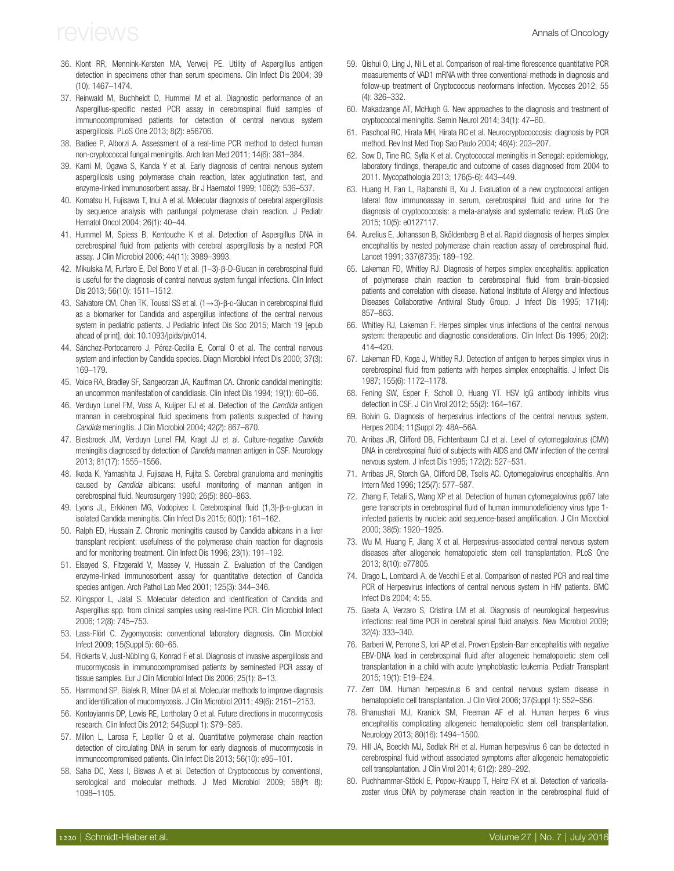- <span id="page-13-0"></span>36. Klont RR, Mennink-Kersten MA, Verweij PE. Utility of Aspergillus antigen detection in specimens other than serum specimens. Clin Infect Dis 2004; 39 (10): 1467–1474.
- 37. Reinwald M, Buchheidt D, Hummel M et al. Diagnostic performance of an Aspergillus-specific nested PCR assay in cerebrospinal fluid samples of immunocompromised patients for detection of central nervous system aspergillosis. PLoS One 2013; 8(2): e56706.
- 38. Badiee P, Alborzi A. Assessment of a real-time PCR method to detect human non-cryptococcal fungal meningitis. Arch Iran Med 2011; 14(6): 381–384.
- 39. Kami M, Ogawa S, Kanda Y et al. Early diagnosis of central nervous system aspergillosis using polymerase chain reaction, latex agglutination test, and enzyme-linked immunosorbent assay. Br J Haematol 1999; 106(2): 536–537.
- 40. Komatsu H, Fujisawa T, Inui A et al. Molecular diagnosis of cerebral aspergillosis by sequence analysis with panfungal polymerase chain reaction. J Pediatr Hematol Oncol 2004; 26(1): 40–44.
- 41. Hummel M, Spiess B, Kentouche K et al. Detection of Aspergillus DNA in cerebrospinal fluid from patients with cerebral aspergillosis by a nested PCR assay. J Clin Microbiol 2006; 44(11): 3989–3993.
- 42. Mikulska M, Furfaro E, Del Bono V et al. (1–3)-β-D-Glucan in cerebrospinal fluid is useful for the diagnosis of central nervous system fungal infections. Clin Infect Dis 2013; 56(10): 1511–1512.
- 43. Salvatore CM, Chen TK, Toussi SS et al. (1→3)-β-D-Glucan in cerebrospinal fluid as a biomarker for Candida and aspergillus infections of the central nervous system in pediatric patients. J Pediatric Infect Dis Soc 2015; March 19 [epub ahead of print], doi: 10.1093/jpids/piv014.
- 44. Sánchez-Portocarrero J, Pérez-Cecilia E, Corral O et al. The central nervous system and infection by Candida species. Diagn Microbiol Infect Dis 2000; 37(3): 169–179.
- 45. Voice RA, Bradley SF, Sangeorzan JA, Kauffman CA. Chronic candidal meningitis: an uncommon manifestation of candidiasis. Clin Infect Dis 1994; 19(1): 60–66.
- 46. Verduyn Lunel FM, Voss A, Kuijper EJ et al. Detection of the *Candida* antigen mannan in cerebrospinal fluid specimens from patients suspected of having Candida meningitis. J Clin Microbiol 2004; 42(2): 867–870.
- 47. Biesbroek JM, Verduyn Lunel FM, Kragt JJ et al. Culture-negative Candida meningitis diagnosed by detection of Candida mannan antigen in CSF. Neurology 2013; 81(17): 1555–1556.
- 48. Ikeda K, Yamashita J, Fujisawa H, Fujita S. Cerebral granuloma and meningitis caused by Candida albicans: useful monitoring of mannan antigen in cerebrospinal fluid. Neurosurgery 1990; 26(5): 860–863.
- 49. Lyons JL, Erkkinen MG, Vodopivec I. Cerebrospinal fluid (1,3)-β-D-glucan in isolated Candida meningitis. Clin Infect Dis 2015; 60(1): 161–162.
- 50. Ralph ED, Hussain Z. Chronic meningitis caused by Candida albicans in a liver transplant recipient: usefulness of the polymerase chain reaction for diagnosis and for monitoring treatment. Clin Infect Dis 1996; 23(1): 191–192.
- 51. Elsayed S, Fitzgerald V, Massey V, Hussain Z. Evaluation of the Candigen enzyme-linked immunosorbent assay for quantitative detection of Candida species antigen. Arch Pathol Lab Med 2001; 125(3): 344–346.
- 52. Klingspor L, Jalal S. Molecular detection and identification of Candida and Aspergillus spp. from clinical samples using real-time PCR. Clin Microbiol Infect 2006; 12(8): 745–753.
- 53. Lass-Flörl C. Zygomycosis: conventional laboratory diagnosis. Clin Microbiol Infect 2009; 15(Suppl 5): 60–65.
- 54. Rickerts V, Just-Nübling G, Konrad F et al. Diagnosis of invasive aspergillosis and mucormycosis in immunocompromised patients by seminested PCR assay of tissue samples. Eur J Clin Microbiol Infect Dis 2006; 25(1): 8–13.
- 55. Hammond SP, Bialek R, Milner DA et al. Molecular methods to improve diagnosis and identification of mucormycosis. J Clin Microbiol 2011; 49(6): 2151–2153.
- 56. Kontoyiannis DP, Lewis RE, Lortholary O et al. Future directions in mucormycosis research. Clin Infect Dis 2012; 54(Suppl 1): S79–S85.
- 57. Millon L, Larosa F, Lepiller Q et al. Quantitative polymerase chain reaction detection of circulating DNA in serum for early diagnosis of mucormycosis in immunocompromised patients. Clin Infect Dis 2013; 56(10): e95–101.
- 58. Saha DC, Xess I, Biswas A et al. Detection of Cryptococcus by conventional, serological and molecular methods. J Med Microbiol 2009; 58(Pt 8): 1098–1105.
- 59. Qishui O, Ling J, Ni L et al. Comparison of real-time florescence quantitative PCR measurements of VAD1 mRNA with three conventional methods in diagnosis and follow-up treatment of Cryptococcus neoformans infection. Mycoses 2012; 55 (4): 326–332.
- 60. Makadzange AT, McHugh G. New approaches to the diagnosis and treatment of cryptococcal meningitis. Semin Neurol 2014; 34(1): 47–60.
- 61. Paschoal RC, Hirata MH, Hirata RC et al. Neurocryptococcosis: diagnosis by PCR method. Rev Inst Med Trop Sao Paulo 2004; 46(4): 203–207.
- 62. Sow D, Tine RC, Sylla K et al. Cryptococcal meningitis in Senegal: epidemiology, laboratory findings, therapeutic and outcome of cases diagnosed from 2004 to 2011. Mycopathologia 2013; 176(5-6): 443–449.
- 63. Huang H, Fan L, Rajbanshi B, Xu J. Evaluation of a new cryptococcal antigen lateral flow immunoassay in serum, cerebrospinal fluid and urine for the diagnosis of cryptococcosis: a meta-analysis and systematic review. PLoS One 2015; 10(5): e0127117.
- 64. Aurelius E, Johansson B, Sköldenberg B et al. Rapid diagnosis of herpes simplex encephalitis by nested polymerase chain reaction assay of cerebrospinal fluid. Lancet 1991; 337(8735): 189–192.
- 65. Lakeman FD, Whitley RJ. Diagnosis of herpes simplex encephalitis: application of polymerase chain reaction to cerebrospinal fluid from brain-biopsied patients and correlation with disease. National Institute of Allergy and Infectious Diseases Collaborative Antiviral Study Group. J Infect Dis 1995; 171(4): 857–863.
- 66. Whitley RJ, Lakeman F. Herpes simplex virus infections of the central nervous system: therapeutic and diagnostic considerations. Clin Infect Dis 1995; 20(2): 414–420.
- 67. Lakeman FD, Koga J, Whitley RJ. Detection of antigen to herpes simplex virus in cerebrospinal fluid from patients with herpes simplex encephalitis. J Infect Dis 1987; 155(6): 1172–1178.
- 68. Fening SW, Esper F, Scholl D, Huang YT. HSV IgG antibody inhibits virus detection in CSF. J Clin Virol 2012; 55(2): 164–167.
- 69. Boivin G. Diagnosis of herpesvirus infections of the central nervous system. Herpes 2004; 11(Suppl 2): 48A–56A.
- 70. Arribas JR, Clifford DB, Fichtenbaum CJ et al. Level of cytomegalovirus (CMV) DNA in cerebrospinal fluid of subjects with AIDS and CMV infection of the central nervous system. J Infect Dis 1995; 172(2): 527–531.
- 71. Arribas JR, Storch GA, Clifford DB, Tselis AC. Cytomegalovirus encephalitis. Ann Intern Med 1996; 125(7): 577–587.
- 72. Zhang F, Tetali S, Wang XP et al. Detection of human cytomegalovirus pp67 late gene transcripts in cerebrospinal fluid of human immunodeficiency virus type 1 infected patients by nucleic acid sequence-based amplification. J Clin Microbiol 2000; 38(5): 1920–1925.
- 73. Wu M, Huang F, Jiang X et al. Herpesvirus-associated central nervous system diseases after allogeneic hematopoietic stem cell transplantation. PLoS One 2013; 8(10): e77805.
- 74. Drago L, Lombardi A, de Vecchi E et al. Comparison of nested PCR and real time PCR of Herpesvirus infections of central nervous system in HIV patients. BMC Infect Dis 2004; 4: 55.
- 75. Gaeta A, Verzaro S, Cristina LM et al. Diagnosis of neurological herpesvirus infections: real time PCR in cerebral spinal fluid analysis. New Microbiol 2009; 32(4): 333–340.
- 76. Barberi W, Perrone S, Iori AP et al. Proven Epstein-Barr encephalitis with negative EBV-DNA load in cerebrospinal fluid after allogeneic hematopoietic stem cell transplantation in a child with acute lymphoblastic leukemia. Pediatr Transplant 2015; 19(1): E19–E24.
- 77. Zerr DM. Human herpesvirus 6 and central nervous system disease in hematopoietic cell transplantation. J Clin Virol 2006; 37(Suppl 1): S52–S56.
- 78. Bhanushali MJ, Kranick SM, Freeman AF et al. Human herpes 6 virus encephalitis complicating allogeneic hematopoietic stem cell transplantation. Neurology 2013; 80(16): 1494–1500.
- 79. Hill JA, Boeckh MJ, Sedlak RH et al. Human herpesvirus 6 can be detected in cerebrospinal fluid without associated symptoms after allogeneic hematopoietic cell transplantation. J Clin Virol 2014; 61(2): 289–292.
- 80. Puchhammer-Stöckl E, Popow-Kraupp T, Heinz FX et al. Detection of varicellazoster virus DNA by polymerase chain reaction in the cerebrospinal fluid of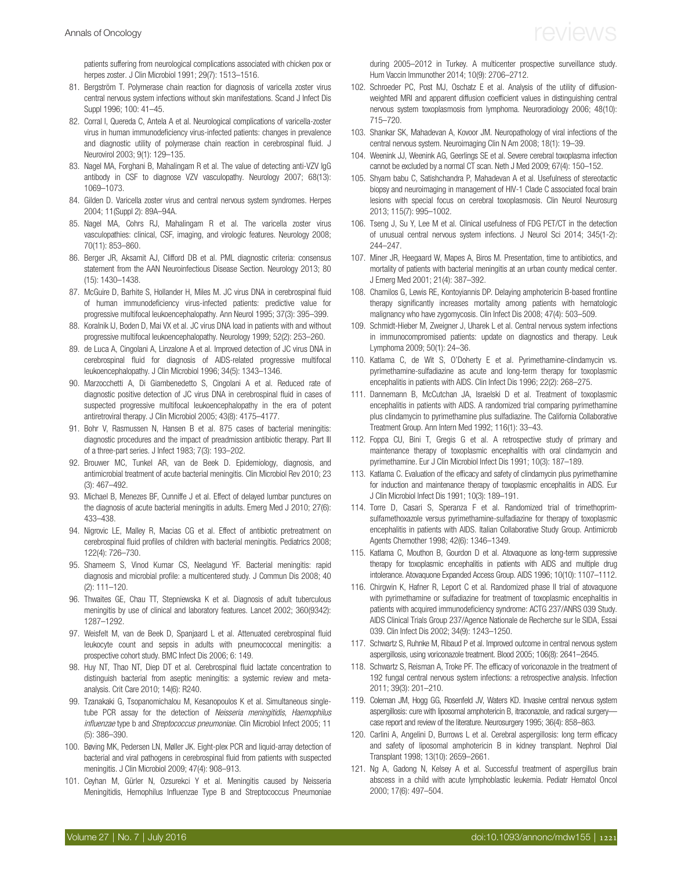<span id="page-14-0"></span>patients suffering from neurological complications associated with chicken pox or herpes zoster. J Clin Microbiol 1991; 29(7): 1513–1516.

- 81. Bergström T. Polymerase chain reaction for diagnosis of varicella zoster virus central nervous system infections without skin manifestations. Scand J Infect Dis Suppl 1996; 100: 41–45.
- 82. Corral I, Quereda C, Antela A et al. Neurological complications of varicella-zoster virus in human immunodeficiency virus-infected patients: changes in prevalence and diagnostic utility of polymerase chain reaction in cerebrospinal fluid. J Neurovirol 2003; 9(1): 129–135.
- 83. Nagel MA, Forghani B, Mahalingam R et al. The value of detecting anti-VZV IgG antibody in CSF to diagnose VZV vasculopathy. Neurology 2007; 68(13): 1069–1073.
- 84. Gilden D. Varicella zoster virus and central nervous system syndromes. Herpes 2004; 11(Suppl 2): 89A–94A.
- 85. Nagel MA, Cohrs RJ, Mahalingam R et al. The varicella zoster virus vasculopathies: clinical, CSF, imaging, and virologic features. Neurology 2008; 70(11): 853–860.
- 86. Berger JR, Aksamit AJ, Clifford DB et al. PML diagnostic criteria: consensus statement from the AAN Neuroinfectious Disease Section. Neurology 2013; 80 (15): 1430–1438.
- 87. McGuire D, Barhite S, Hollander H, Miles M. JC virus DNA in cerebrospinal fluid of human immunodeficiency virus-infected patients: predictive value for progressive multifocal leukoencephalopathy. Ann Neurol 1995; 37(3): 395–399.
- 88. Koralnik IJ, Boden D, Mai VX et al. JC virus DNA load in patients with and without progressive multifocal leukoencephalopathy. Neurology 1999; 52(2): 253–260.
- 89. de Luca A, Cingolani A, Linzalone A et al. Improved detection of JC virus DNA in cerebrospinal fluid for diagnosis of AIDS-related progressive multifocal leukoencephalopathy. J Clin Microbiol 1996; 34(5): 1343–1346.
- 90. Marzocchetti A, Di Giambenedetto S, Cingolani A et al. Reduced rate of diagnostic positive detection of JC virus DNA in cerebrospinal fluid in cases of suspected progressive multifocal leukoencephalopathy in the era of potent antiretroviral therapy. J Clin Microbiol 2005; 43(8): 4175–4177.
- 91. Bohr V, Rasmussen N, Hansen B et al. 875 cases of bacterial meningitis: diagnostic procedures and the impact of preadmission antibiotic therapy. Part III of a three-part series. J Infect 1983; 7(3): 193–202.
- 92. Brouwer MC, Tunkel AR, van de Beek D. Epidemiology, diagnosis, and antimicrobial treatment of acute bacterial meningitis. Clin Microbiol Rev 2010; 23 (3): 467–492.
- 93. Michael B, Menezes BF, Cunniffe J et al. Effect of delayed lumbar punctures on the diagnosis of acute bacterial meningitis in adults. Emerg Med J 2010; 27(6): 433–438.
- 94. Nigrovic LE, Malley R, Macias CG et al. Effect of antibiotic pretreatment on cerebrospinal fluid profiles of children with bacterial meningitis. Pediatrics 2008; 122(4): 726–730.
- 95. Shameem S, Vinod Kumar CS, Neelagund YF. Bacterial meningitis: rapid diagnosis and microbial profile: a multicentered study. J Commun Dis 2008; 40 (2): 111–120.
- 96. Thwaites GE, Chau TT, Stepniewska K et al. Diagnosis of adult tuberculous meningitis by use of clinical and laboratory features. Lancet 2002; 360(9342): 1287–1292.
- 97. Weisfelt M, van de Beek D, Spanjaard L et al. Attenuated cerebrospinal fluid leukocyte count and sepsis in adults with pneumococcal meningitis: a prospective cohort study. BMC Infect Dis 2006; 6: 149.
- 98. Huy NT, Thao NT, Diep DT et al. Cerebrospinal fluid lactate concentration to distinguish bacterial from aseptic meningitis: a systemic review and metaanalysis. Crit Care 2010; 14(6): R240.
- 99. Tzanakaki G, Tsopanomichalou M, Kesanopoulos K et al. Simultaneous singletube PCR assay for the detection of Neisseria meningitidis, Haemophilus influenzae type b and Streptococcus pneumoniae. Clin Microbiol Infect 2005; 11 (5): 386–390.
- 100. Bøving MK, Pedersen LN, Møller JK. Eight-plex PCR and liquid-array detection of bacterial and viral pathogens in cerebrospinal fluid from patients with suspected meningitis. J Clin Microbiol 2009; 47(4): 908–913.
- 101. Ceyhan M, Gürler N, Ozsurekci Y et al. Meningitis caused by Neisseria Meningitidis, Hemophilus Influenzae Type B and Streptococcus Pneumoniae

during 2005–2012 in Turkey. A multicenter prospective surveillance study. Hum Vaccin Immunother 2014; 10(9): 2706–2712.

- 102. Schroeder PC, Post MJ, Oschatz E et al. Analysis of the utility of diffusionweighted MRI and apparent diffusion coefficient values in distinguishing central nervous system toxoplasmosis from lymphoma. Neuroradiology 2006; 48(10): 715–720.
- 103. Shankar SK, Mahadevan A, Kovoor JM. Neuropathology of viral infections of the central nervous system. Neuroimaging Clin N Am 2008; 18(1): 19–39.
- 104. Weenink JJ, Weenink AG, Geerlings SE et al. Severe cerebral toxoplasma infection cannot be excluded by a normal CT scan. Neth J Med 2009; 67(4): 150–152.
- 105. Shyam babu C, Satishchandra P, Mahadevan A et al. Usefulness of stereotactic biopsy and neuroimaging in management of HIV-1 Clade C associated focal brain lesions with special focus on cerebral toxoplasmosis. Clin Neurol Neurosurg 2013; 115(7): 995–1002.
- 106. Tseng J, Su Y, Lee M et al. Clinical usefulness of FDG PET/CT in the detection of unusual central nervous system infections. J Neurol Sci 2014; 345(1-2): 244–247.
- 107. Miner JR, Heegaard W, Mapes A, Biros M. Presentation, time to antibiotics, and mortality of patients with bacterial meningitis at an urban county medical center. J Emerg Med 2001; 21(4): 387–392.
- 108. Chamilos G, Lewis RE, Kontoyiannis DP. Delaying amphotericin B-based frontline therapy significantly increases mortality among patients with hematologic malignancy who have zygomycosis. Clin Infect Dis 2008; 47(4): 503–509.
- 109. Schmidt-Hieber M, Zweigner J, Uharek L et al. Central nervous system infections in immunocompromised patients: update on diagnostics and therapy. Leuk Lymphoma 2009; 50(1): 24–36.
- 110. Katlama C, de Wit S, O'Doherty E et al. Pyrimethamine-clindamycin vs. pyrimethamine-sulfadiazine as acute and long-term therapy for toxoplasmic encephalitis in patients with AIDS. Clin Infect Dis 1996; 22(2): 268–275.
- 111. Dannemann B, McCutchan JA, Israelski D et al. Treatment of toxoplasmic encephalitis in patients with AIDS. A randomized trial comparing pyrimethamine plus clindamycin to pyrimethamine plus sulfadiazine. The California Collaborative Treatment Group. Ann Intern Med 1992; 116(1): 33–43.
- 112. Foppa CU, Bini T, Gregis G et al. A retrospective study of primary and maintenance therapy of toxoplasmic encephalitis with oral clindamycin and pyrimethamine. Eur J Clin Microbiol Infect Dis 1991; 10(3): 187–189.
- 113. Katlama C. Evaluation of the efficacy and safety of clindamycin plus pyrimethamine for induction and maintenance therapy of toxoplasmic encephalitis in AIDS. Eur J Clin Microbiol Infect Dis 1991; 10(3): 189–191.
- 114. Torre D, Casari S, Speranza F et al. Randomized trial of trimethoprimsulfamethoxazole versus pyrimethamine-sulfadiazine for therapy of toxoplasmic encephalitis in patients with AIDS. Italian Collaborative Study Group. Antimicrob Agents Chemother 1998; 42(6): 1346–1349.
- 115. Katlama C, Mouthon B, Gourdon D et al. Atovaquone as long-term suppressive therapy for toxoplasmic encephalitis in patients with AIDS and multiple drug intolerance. Atovaquone Expanded Access Group. AIDS 1996; 10(10): 1107–1112.
- 116. Chirgwin K, Hafner R, Leport C et al. Randomized phase II trial of atovaquone with pyrimethamine or sulfadiazine for treatment of toxoplasmic encephalitis in patients with acquired immunodeficiency syndrome: ACTG 237/ANRS 039 Study. AIDS Clinical Trials Group 237/Agence Nationale de Recherche sur le SIDA, Essai 039. Clin Infect Dis 2002; 34(9): 1243–1250.
- 117. Schwartz S, Ruhnke M, Ribaud P et al. Improved outcome in central nervous system aspergillosis, using voriconazole treatment. Blood 2005; 106(8): 2641–2645.
- 118. Schwartz S, Reisman A, Troke PF. The efficacy of voriconazole in the treatment of 192 fungal central nervous system infections: a retrospective analysis. Infection 2011; 39(3): 201–210.
- 119. Coleman JM, Hogg GG, Rosenfeld JV, Waters KD. Invasive central nervous system aspergillosis: cure with liposomal amphotericin B, itraconazole, and radical surgery case report and review of the literature. Neurosurgery 1995; 36(4): 858–863.
- 120. Carlini A, Angelini D, Burrows L et al. Cerebral aspergillosis: long term efficacy and safety of liposomal amphotericin B in kidney transplant. Nephrol Dial Transplant 1998; 13(10): 2659–2661.
- 121. Ng A, Gadong N, Kelsey A et al. Successful treatment of aspergillus brain abscess in a child with acute lymphoblastic leukemia. Pediatr Hematol Oncol 2000; 17(6): 497–504.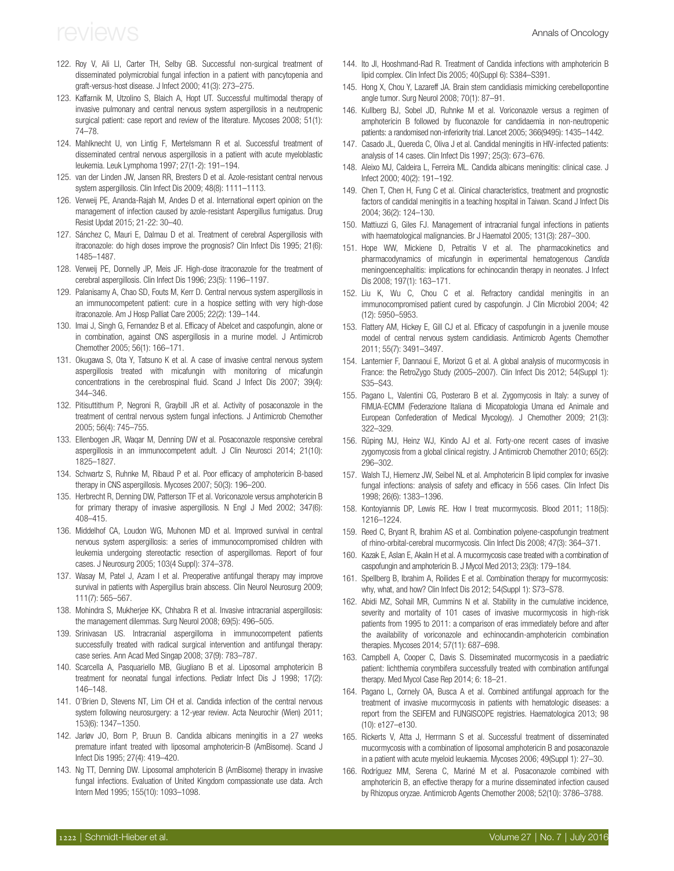- <span id="page-15-0"></span>122. Roy V, Ali LI, Carter TH, Selby GB. Successful non-surgical treatment of disseminated polymicrobial fungal infection in a patient with pancytopenia and graft-versus-host disease. J Infect 2000; 41(3): 273–275.
- 123. Kaffarnik M, Utzolino S, Blaich A, Hopt UT. Successful multimodal therapy of invasive pulmonary and central nervous system aspergillosis in a neutropenic surgical patient: case report and review of the literature. Mycoses 2008; 51(1): 74–78.
- 124. Mahlknecht U, von Lintig F, Mertelsmann R et al. Successful treatment of disseminated central nervous aspergillosis in a patient with acute myeloblastic leukemia. Leuk Lymphoma 1997; 27(1-2): 191–194.
- 125. van der Linden JW, Jansen RR, Bresters D et al. Azole-resistant central nervous system aspergillosis. Clin Infect Dis 2009; 48(8): 1111–1113.
- 126. Verweij PE, Ananda-Rajah M, Andes D et al. International expert opinion on the management of infection caused by azole-resistant Aspergillus fumigatus. Drug Resist Updat 2015; 21-22: 30–40.
- 127. Sánchez C, Mauri E, Dalmau D et al. Treatment of cerebral Aspergillosis with itraconazole: do high doses improve the prognosis? Clin Infect Dis 1995; 21(6): 1485–1487.
- 128. Verweij PE, Donnelly JP, Meis JF. High-dose itraconazole for the treatment of cerebral aspergillosis. Clin Infect Dis 1996; 23(5): 1196–1197.
- 129. Palanisamy A, Chao SD, Fouts M, Kerr D. Central nervous system aspergillosis in an immunocompetent patient: cure in a hospice setting with very high-dose itraconazole. Am J Hosp Palliat Care 2005; 22(2): 139–144.
- 130. Imai J, Singh G, Fernandez B et al. Efficacy of Abelcet and caspofungin, alone or in combination, against CNS aspergillosis in a murine model. J Antimicrob Chemother 2005; 56(1): 166–171.
- 131. Okugawa S, Ota Y, Tatsuno K et al. A case of invasive central nervous system aspergillosis treated with micafungin with monitoring of micafungin concentrations in the cerebrospinal fluid. Scand J Infect Dis 2007; 39(4): 344–346.
- 132. Pitisuttithum P, Negroni R, Graybill JR et al. Activity of posaconazole in the treatment of central nervous system fungal infections. J Antimicrob Chemother 2005; 56(4): 745–755.
- 133. Ellenbogen JR, Waqar M, Denning DW et al. Posaconazole responsive cerebral aspergillosis in an immunocompetent adult. J Clin Neurosci 2014; 21(10): 1825–1827.
- 134. Schwartz S, Ruhnke M, Ribaud P et al. Poor efficacy of amphotericin B-based therapy in CNS aspergillosis. Mycoses 2007; 50(3): 196–200.
- 135. Herbrecht R, Denning DW, Patterson TF et al. Voriconazole versus amphotericin B for primary therapy of invasive aspergillosis. N Engl J Med 2002; 347(6): 408–415.
- 136. Middelhof CA, Loudon WG, Muhonen MD et al. Improved survival in central nervous system aspergillosis: a series of immunocompromised children with leukemia undergoing stereotactic resection of aspergillomas. Report of four cases. J Neurosurg 2005; 103(4 Suppl): 374–378.
- 137. Wasay M, Patel J, Azam I et al. Preoperative antifungal therapy may improve survival in patients with Aspergillus brain abscess. Clin Neurol Neurosurg 2009; 111(7): 565–567.
- 138. Mohindra S, Mukherjee KK, Chhabra R et al. Invasive intracranial aspergillosis: the management dilemmas. Surg Neurol 2008; 69(5): 496–505.
- 139. Srinivasan US. Intracranial aspergilloma in immunocompetent patients successfully treated with radical surgical intervention and antifungal therapy: case series. Ann Acad Med Singap 2008; 37(9): 783–787.
- 140. Scarcella A, Pasquariello MB, Giugliano B et al. Liposomal amphotericin B treatment for neonatal fungal infections. Pediatr Infect Dis J 1998; 17(2): 146–148.
- 141. O'Brien D, Stevens NT, Lim CH et al. Candida infection of the central nervous system following neurosurgery: a 12-year review. Acta Neurochir (Wien) 2011; 153(6): 1347–1350.
- 142. Jarløv JO, Born P, Bruun B. Candida albicans meningitis in a 27 weeks premature infant treated with liposomal amphotericin-B (AmBisome). Scand J Infect Dis 1995; 27(4): 419–420.
- 143. Ng TT, Denning DW. Liposomal amphotericin B (AmBisome) therapy in invasive fungal infections. Evaluation of United Kingdom compassionate use data. Arch Intern Med 1995; 155(10): 1093–1098.
- 144. Ito JI, Hooshmand-Rad R. Treatment of Candida infections with amphotericin B lipid complex. Clin Infect Dis 2005; 40(Suppl 6): S384–S391.
- 145. Hong X, Chou Y, Lazareff JA. Brain stem candidiasis mimicking cerebellopontine angle tumor. Surg Neurol 2008; 70(1): 87–91.
- 146. Kullberg BJ, Sobel JD, Ruhnke M et al. Voriconazole versus a regimen of amphotericin B followed by fluconazole for candidaemia in non-neutropenic patients: a randomised non-inferiority trial. Lancet 2005; 366(9495): 1435–1442.
- 147. Casado JL, Quereda C, Oliva J et al. Candidal meningitis in HIV-infected patients: analysis of 14 cases. Clin Infect Dis 1997; 25(3): 673–676.
- 148. Aleixo MJ, Caldeira L, Ferreira ML. Candida albicans meningitis: clinical case. J Infect 2000; 40(2): 191–192.
- 149. Chen T, Chen H, Fung C et al. Clinical characteristics, treatment and prognostic factors of candidal meningitis in a teaching hospital in Taiwan. Scand J Infect Dis 2004; 36(2): 124–130.
- 150. Mattiuzzi G, Giles FJ. Management of intracranial fungal infections in patients with haematological malignancies. Br J Haematol 2005; 131(3): 287–300.
- 151. Hope WW, Mickiene D, Petraitis V et al. The pharmacokinetics and pharmacodynamics of micafungin in experimental hematogenous Candida meningoencephalitis: implications for echinocandin therapy in neonates. J Infect Dis 2008; 197(1): 163–171.
- 152. Liu K, Wu C, Chou C et al. Refractory candidal meningitis in an immunocompromised patient cured by caspofungin. J Clin Microbiol 2004; 42 (12): 5950–5953.
- 153. Flattery AM, Hickey E, Gill CJ et al. Efficacy of caspofungin in a juvenile mouse model of central nervous system candidiasis. Antimicrob Agents Chemother 2011; 55(7): 3491–3497.
- 154. Lanternier F, Dannaoui E, Morizot G et al. A global analysis of mucormycosis in France: the RetroZygo Study (2005–2007). Clin Infect Dis 2012; 54(Suppl 1): S35–S43.
- 155. Pagano L, Valentini CG, Posteraro B et al. Zygomycosis in Italy: a survey of FIMUA-ECMM (Federazione Italiana di Micopatologia Umana ed Animale and European Confederation of Medical Mycology). J Chemother 2009; 21(3): 322–329.
- 156. Rüping MJ, Heinz WJ, Kindo AJ et al. Forty-one recent cases of invasive zygomycosis from a global clinical registry. J Antimicrob Chemother 2010; 65(2): 296–302.
- 157. Walsh TJ, Hiemenz JW, Seibel NL et al. Amphotericin B lipid complex for invasive fungal infections: analysis of safety and efficacy in 556 cases. Clin Infect Dis 1998; 26(6): 1383–1396.
- 158. Kontoyiannis DP, Lewis RE. How I treat mucormycosis. Blood 2011; 118(5): 1216–1224.
- 159. Reed C, Bryant R, Ibrahim AS et al. Combination polyene-caspofungin treatment of rhino-orbital-cerebral mucormycosis. Clin Infect Dis 2008; 47(3): 364–371.
- 160. Kazak E, Aslan E, Akalın H et al. A mucormycosis case treated with a combination of caspofungin and amphotericin B. J Mycol Med 2013; 23(3): 179–184.
- 161. Spellberg B, Ibrahim A, Roilides E et al. Combination therapy for mucormycosis: why, what, and how? Clin Infect Dis 2012; 54(Suppl 1): S73–S78.
- 162. Abidi MZ, Sohail MR, Cummins N et al. Stability in the cumulative incidence, severity and mortality of 101 cases of invasive mucormycosis in high-risk patients from 1995 to 2011: a comparison of eras immediately before and after the availability of voriconazole and echinocandin-amphotericin combination therapies. Mycoses 2014; 57(11): 687–698.
- 163. Campbell A, Cooper C, Davis S. Disseminated mucormycosis in a paediatric patient: lichthemia corymbifera successfully treated with combination antifungal therapy. Med Mycol Case Rep 2014; 6: 18–21.
- 164. Pagano L, Cornely OA, Busca A et al. Combined antifungal approach for the treatment of invasive mucormycosis in patients with hematologic diseases: a report from the SEIFEM and FUNGISCOPE registries. Haematologica 2013; 98 (10): e127–e130.
- 165. Rickerts V, Atta J, Herrmann S et al. Successful treatment of disseminated mucormycosis with a combination of liposomal amphotericin B and posaconazole in a patient with acute myeloid leukaemia. Mycoses 2006; 49(Suppl 1): 27–30.
- 166. Rodríguez MM, Serena C, Mariné M et al. Posaconazole combined with amphotericin B, an effective therapy for a murine disseminated infection caused by Rhizopus oryzae. Antimicrob Agents Chemother 2008; 52(10): 3786–3788.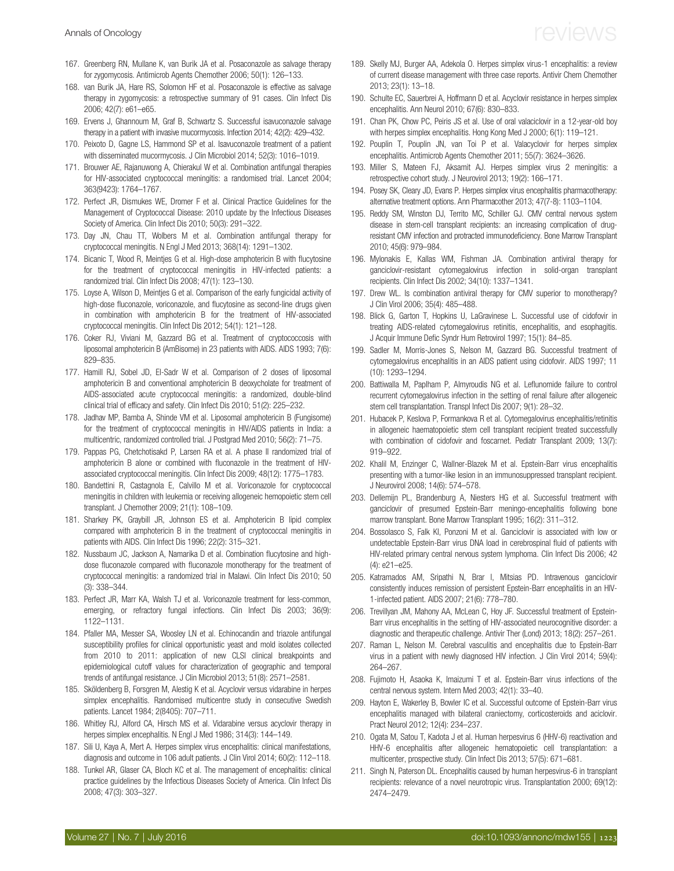- <span id="page-16-0"></span>167. Greenberg RN, Mullane K, van Burik JA et al. Posaconazole as salvage therapy for zygomycosis. Antimicrob Agents Chemother 2006; 50(1): 126–133.
- 168. van Burik JA, Hare RS, Solomon HF et al. Posaconazole is effective as salvage therapy in zygomycosis: a retrospective summary of 91 cases. Clin Infect Dis 2006; 42(7): e61–e65.
- 169. Ervens J, Ghannoum M, Graf B, Schwartz S. Successful isavuconazole salvage therapy in a patient with invasive mucormycosis. Infection 2014; 42(2): 429–432.
- 170. Peixoto D, Gagne LS, Hammond SP et al. Isavuconazole treatment of a patient with disseminated mucormycosis. J Clin Microbiol 2014; 52(3): 1016–1019.
- 171. Brouwer AE, Rajanuwong A, Chierakul W et al. Combination antifungal therapies for HIV-associated cryptococcal meningitis: a randomised trial. Lancet 2004; 363(9423): 1764–1767.
- 172. Perfect JR, Dismukes WE, Dromer F et al. Clinical Practice Guidelines for the Management of Cryptococcal Disease: 2010 update by the Infectious Diseases Society of America. Clin Infect Dis 2010; 50(3): 291–322.
- 173. Day JN, Chau TT, Wolbers M et al. Combination antifungal therapy for cryptococcal meningitis. N Engl J Med 2013; 368(14): 1291–1302.
- 174. Bicanic T. Wood R. Meinties G et al. High-dose amphotericin B with flucytosine for the treatment of cryptococcal meningitis in HIV-infected patients: a randomized trial. Clin Infect Dis 2008; 47(1): 123–130.
- 175. Loyse A, Wilson D, Meintjes G et al. Comparison of the early fungicidal activity of high-dose fluconazole, voriconazole, and flucytosine as second-line drugs given in combination with amphotericin B for the treatment of HIV-associated cryptococcal meningitis. Clin Infect Dis 2012; 54(1): 121–128.
- 176. Coker RJ, Viviani M, Gazzard BG et al. Treatment of cryptococcosis with liposomal amphotericin B (AmBisome) in 23 patients with AIDS. AIDS 1993; 7(6): 829–835.
- 177. Hamill RJ, Sobel JD, El-Sadr W et al. Comparison of 2 doses of liposomal amphotericin B and conventional amphotericin B deoxycholate for treatment of AIDS-associated acute cryptococcal meningitis: a randomized, double-blind clinical trial of efficacy and safety. Clin Infect Dis 2010; 51(2): 225–232.
- 178. Jadhav MP, Bamba A, Shinde VM et al. Liposomal amphotericin B (Fungisome) for the treatment of cryptococcal meningitis in HIV/AIDS patients in India: a multicentric, randomized controlled trial. J Postgrad Med 2010; 56(2): 71–75.
- 179. Pappas PG, Chetchotisakd P, Larsen RA et al. A phase II randomized trial of amphotericin B alone or combined with fluconazole in the treatment of HIVassociated cryptococcal meningitis. Clin Infect Dis 2009; 48(12): 1775–1783.
- 180. Bandettini R, Castagnola E, Calvillo M et al. Voriconazole for cryptococcal meningitis in children with leukemia or receiving allogeneic hemopoietic stem cell transplant. J Chemother 2009; 21(1): 108–109.
- 181. Sharkey PK, Graybill JR, Johnson ES et al. Amphotericin B lipid complex compared with amphotericin B in the treatment of cryptococcal meningitis in patients with AIDS. Clin Infect Dis 1996; 22(2): 315–321.
- 182. Nussbaum JC, Jackson A, Namarika D et al. Combination flucytosine and highdose fluconazole compared with fluconazole monotherapy for the treatment of cryptococcal meningitis: a randomized trial in Malawi. Clin Infect Dis 2010; 50 (3): 338–344.
- 183. Perfect JR, Marr KA, Walsh TJ et al. Voriconazole treatment for less-common, emerging, or refractory fungal infections. Clin Infect Dis 2003; 36(9): 1122–1131.
- 184. Pfaller MA, Messer SA, Woosley LN et al. Echinocandin and triazole antifungal susceptibility profiles for clinical opportunistic yeast and mold isolates collected from 2010 to 2011: application of new CLSI clinical breakpoints and epidemiological cutoff values for characterization of geographic and temporal trends of antifungal resistance. J Clin Microbiol 2013; 51(8): 2571–2581.
- 185. Sköldenberg B, Forsgren M, Alestig K et al. Acyclovir versus vidarabine in herpes simplex encephalitis. Randomised multicentre study in consecutive Swedish patients. Lancet 1984; 2(8405): 707–711.
- 186. Whitley RJ, Alford CA, Hirsch MS et al. Vidarabine versus acyclovir therapy in herpes simplex encephalitis. N Engl J Med 1986: 314(3): 144-149.
- 187. Sili U, Kaya A, Mert A. Herpes simplex virus encephalitis: clinical manifestations, diagnosis and outcome in 106 adult patients. J Clin Virol 2014; 60(2): 112–118.
- 188. Tunkel AR, Glaser CA, Bloch KC et al. The management of encephalitis: clinical practice guidelines by the Infectious Diseases Society of America. Clin Infect Dis 2008; 47(3): 303–327.

- 189. Skelly MJ, Burger AA, Adekola O. Herpes simplex virus-1 encephalitis: a review of current disease management with three case reports. Antivir Chem Chemother 2013; 23(1): 13–18.
- 190. Schulte EC, Sauerbrei A, Hoffmann D et al. Acyclovir resistance in herpes simplex encephalitis. Ann Neurol 2010; 67(6): 830–833.
- 191. Chan PK, Chow PC, Peiris JS et al. Use of oral valaciclovir in a 12-year-old boy with herpes simplex encephalitis. Hong Kong Med J 2000; 6(1): 119–121.
- 192. Pouplin T, Pouplin JN, van Toi P et al. Valacyclovir for herpes simplex encephalitis. Antimicrob Agents Chemother 2011; 55(7): 3624–3626.
- 193. Miller S, Mateen FJ, Aksamit AJ. Herpes simplex virus 2 meningitis: a retrospective cohort study. J Neurovirol 2013; 19(2): 166–171.
- 194. Posey SK, Cleary JD, Evans P. Herpes simplex virus encephalitis pharmacotherapy: alternative treatment options. Ann Pharmacother 2013; 47(7-8): 1103–1104.
- 195. Reddy SM, Winston DJ, Territo MC, Schiller GJ. CMV central nervous system disease in stem-cell transplant recipients: an increasing complication of drugresistant CMV infection and protracted immunodeficiency. Bone Marrow Transplant 2010; 45(6): 979–984.
- 196. Mylonakis E, Kallas WM, Fishman JA. Combination antiviral therapy for ganciclovir-resistant cytomegalovirus infection in solid-organ transplant recipients. Clin Infect Dis 2002; 34(10): 1337–1341.
- 197. Drew WL. Is combination antiviral therapy for CMV superior to monotherapy? J Clin Virol 2006; 35(4): 485–488.
- 198. Blick G, Garton T, Hopkins U, LaGravinese L. Successful use of cidofovir in treating AIDS-related cytomegalovirus retinitis, encephalitis, and esophagitis. J Acquir Immune Defic Syndr Hum Retrovirol 1997; 15(1): 84–85.
- 199. Sadler M, Morris-Jones S, Nelson M, Gazzard BG. Successful treatment of cytomegalovirus encephalitis in an AIDS patient using cidofovir. AIDS 1997; 11 (10): 1293–1294.
- 200. Battiwalla M, Paplham P, Almyroudis NG et al. Leflunomide failure to control recurrent cytomegalovirus infection in the setting of renal failure after allogeneic stem cell transplantation. Transpl Infect Dis 2007; 9(1): 28–32.
- 201. Hubacek P, Keslova P, Formankova R et al. Cytomegalovirus encephalitis/retinitis in allogeneic haematopoietic stem cell transplant recipient treated successfully with combination of cidofovir and foscarnet. Pediatr Transplant 2009; 13(7): 919–922.
- 202. Khalil M, Enzinger C, Wallner-Blazek M et al. Epstein-Barr virus encephalitis presenting with a tumor-like lesion in an immunosuppressed transplant recipient. J Neurovirol 2008; 14(6): 574–578.
- 203. Dellemijn PL, Brandenburg A, Niesters HG et al. Successful treatment with ganciclovir of presumed Epstein-Barr meningo-encephalitis following bone marrow transplant. Bone Marrow Transplant 1995; 16(2): 311–312.
- 204. Bossolasco S, Falk KI, Ponzoni M et al. Ganciclovir is associated with low or undetectable Epstein-Barr virus DNA load in cerebrospinal fluid of patients with HIV-related primary central nervous system lymphoma. Clin Infect Dis 2006; 42 (4): e21–e25.
- 205. Katramados AM, Sripathi N, Brar I, Mitsias PD. Intravenous ganciclovir consistently induces remission of persistent Epstein-Barr encephalitis in an HIV-1-infected patient. AIDS 2007; 21(6): 778–780.
- 206. Trevillyan JM, Mahony AA, McLean C, Hoy JF. Successful treatment of Epstein-Barr virus encephalitis in the setting of HIV-associated neurocognitive disorder: a diagnostic and therapeutic challenge. Antivir Ther (Lond) 2013; 18(2): 257–261.
- 207. Raman L, Nelson M. Cerebral vasculitis and encephalitis due to Epstein-Barr virus in a patient with newly diagnosed HIV infection. J Clin Virol 2014; 59(4): 264–267.
- 208. Fujimoto H, Asaoka K, Imaizumi T et al. Epstein-Barr virus infections of the central nervous system. Intern Med 2003; 42(1): 33–40.
- 209. Hayton E, Wakerley B, Bowler IC et al. Successful outcome of Epstein-Barr virus encephalitis managed with bilateral craniectomy, corticosteroids and aciclovir. Pract Neurol 2012; 12(4): 234–237.
- 210. Ogata M, Satou T, Kadota J et al. Human herpesvirus 6 (HHV-6) reactivation and HHV-6 encephalitis after allogeneic hematopoietic cell transplantation: a multicenter, prospective study. Clin Infect Dis 2013; 57(5): 671–681.
- 211. Singh N, Paterson DL. Encephalitis caused by human herpesvirus-6 in transplant recipients: relevance of a novel neurotropic virus. Transplantation 2000; 69(12): 2474–2479.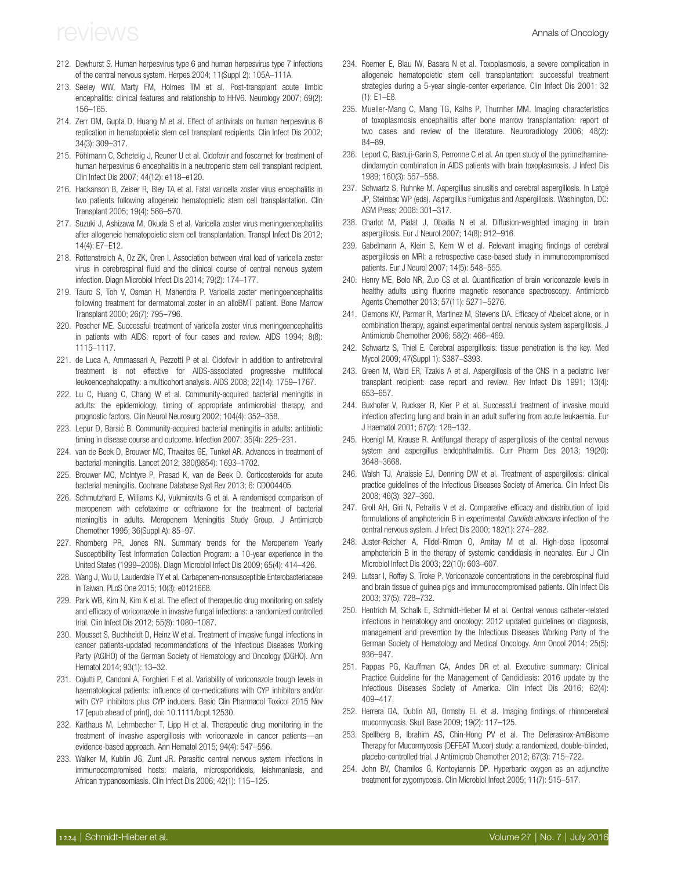- <span id="page-17-0"></span>212. Dewhurst S. Human herpesvirus type 6 and human herpesvirus type 7 infections of the central nervous system. Herpes 2004; 11(Suppl 2): 105A–111A.
- 213. Seeley WW, Marty FM, Holmes TM et al. Post-transplant acute limbic encephalitis: clinical features and relationship to HHV6. Neurology 2007; 69(2): 156–165.
- 214. Zerr DM, Gupta D, Huang M et al. Effect of antivirals on human herpesvirus 6 replication in hematopoietic stem cell transplant recipients. Clin Infect Dis 2002; 34(3): 309–317.
- 215. Pöhlmann C, Schetelig J, Reuner U et al. Cidofovir and foscarnet for treatment of human herpesvirus 6 encephalitis in a neutropenic stem cell transplant recipient. Clin Infect Dis 2007; 44(12): e118–e120.
- 216. Hackanson B, Zeiser R, Bley TA et al. Fatal varicella zoster virus encephalitis in two patients following allogeneic hematopoietic stem cell transplantation. Clin Transplant 2005; 19(4): 566–570.
- 217. Suzuki J, Ashizawa M, Okuda S et al. Varicella zoster virus meningoencephalitis after allogeneic hematopoietic stem cell transplantation. Transpl Infect Dis 2012; 14(4): E7–E12.
- 218. Rottenstreich A, Oz ZK, Oren I. Association between viral load of varicella zoster virus in cerebrospinal fluid and the clinical course of central nervous system infection. Diagn Microbiol Infect Dis 2014; 79(2): 174–177.
- 219. Tauro S, Toh V, Osman H, Mahendra P. Varicella zoster meningoencephalitis following treatment for dermatomal zoster in an alloBMT patient. Bone Marrow Transplant 2000; 26(7): 795–796.
- 220. Poscher ME. Successful treatment of varicella zoster virus meningoencephalitis in patients with AIDS: report of four cases and review. AIDS 1994; 8(8): 1115–1117.
- 221. de Luca A, Ammassari A, Pezzotti P et al. Cidofovir in addition to antiretroviral treatment is not effective for AIDS-associated progressive multifocal leukoencephalopathy: a multicohort analysis. AIDS 2008; 22(14): 1759–1767.
- 222. Lu C, Huang C, Chang W et al. Community-acquired bacterial meningitis in adults: the epidemiology, timing of appropriate antimicrobial therapy, and prognostic factors. Clin Neurol Neurosurg 2002; 104(4): 352–358.
- 223. Lepur D, Barsić B. Community-acquired bacterial meningitis in adults: antibiotic timing in disease course and outcome. Infection 2007; 35(4): 225–231.
- 224. van de Beek D, Brouwer MC, Thwaites GE, Tunkel AR. Advances in treatment of bacterial meningitis. Lancet 2012; 380(9854): 1693–1702.
- 225. Brouwer MC, McIntyre P, Prasad K, van de Beek D. Corticosteroids for acute bacterial meningitis. Cochrane Database Syst Rev 2013; 6: CD004405.
- 226. Schmutzhard E, Williams KJ, Vukmirovits G et al. A randomised comparison of meropenem with cefotaxime or ceftriaxone for the treatment of bacterial meningitis in adults. Meropenem Meningitis Study Group. J Antimicrob Chemother 1995; 36(Suppl A): 85–97.
- 227. Rhomberg PR, Jones RN. Summary trends for the Meropenem Yearly Susceptibility Test Information Collection Program: a 10-year experience in the United States (1999–2008). Diagn Microbiol Infect Dis 2009; 65(4): 414–426.
- 228. Wang J, Wu U, Lauderdale TY et al. Carbapenem-nonsusceptible Enterobacteriaceae in Taiwan. PLoS One 2015; 10(3): e0121668.
- 229. Park WB, Kim N, Kim K et al. The effect of therapeutic drug monitoring on safety and efficacy of voriconazole in invasive fungal infections: a randomized controlled trial. Clin Infect Dis 2012; 55(8): 1080–1087.
- 230. Mousset S, Buchheidt D, Heinz W et al. Treatment of invasive fungal infections in cancer patients-updated recommendations of the Infectious Diseases Working Party (AGIHO) of the German Society of Hematology and Oncology (DGHO). Ann Hematol 2014; 93(1): 13–32.
- 231. Cojutti P, Candoni A, Forghieri F et al. Variability of voriconazole trough levels in haematological patients: influence of co-medications with CYP inhibitors and/or with CYP inhibitors plus CYP inducers. Basic Clin Pharmacol Toxicol 2015 Nov 17 [epub ahead of print], doi: 10.1111/bcpt.12530.
- 232. Karthaus M, Lehrnbecher T, Lipp H et al. Therapeutic drug monitoring in the treatment of invasive aspergillosis with voriconazole in cancer patients—an evidence-based approach. Ann Hematol 2015; 94(4): 547–556.
- 233. Walker M, Kublin JG, Zunt JR. Parasitic central nervous system infections in immunocompromised hosts: malaria, microsporidiosis, leishmaniasis, and African trypanosomiasis. Clin Infect Dis 2006; 42(1): 115–125.
- 234. Roemer E, Blau IW, Basara N et al. Toxoplasmosis, a severe complication in allogeneic hematopoietic stem cell transplantation: successful treatment strategies during a 5-year single-center experience. Clin Infect Dis 2001; 32 (1): E1–E8.
- 235. Mueller-Mang C, Mang TG, Kalhs P, Thurnher MM. Imaging characteristics of toxoplasmosis encephalitis after bone marrow transplantation: report of two cases and review of the literature. Neuroradiology 2006; 48(2): 84–89.
- 236. Leport C, Bastuji-Garin S, Perronne C et al. An open study of the pyrimethamineclindamycin combination in AIDS patients with brain toxoplasmosis. J Infect Dis 1989; 160(3): 557–558.
- 237. Schwartz S, Ruhnke M. Aspergillus sinusitis and cerebral aspergillosis. In Latgé JP, Steinbac WP (eds). Aspergillus Fumigatus and Aspergillosis. Washington, DC: ASM Press; 2008: 301–317.
- 238. Charlot M, Pialat J, Obadia N et al. Diffusion-weighted imaging in brain aspergillosis. Eur J Neurol 2007; 14(8): 912–916.
- 239. Gabelmann A, Klein S, Kern W et al. Relevant imaging findings of cerebral aspergillosis on MRI: a retrospective case-based study in immunocompromised patients. Eur J Neurol 2007; 14(5): 548–555.
- 240. Henry ME, Bolo NR, Zuo CS et al. Quantification of brain voriconazole levels in healthy adults using fluorine magnetic resonance spectroscopy. Antimicrob Agents Chemother 2013; 57(11): 5271–5276.
- 241. Clemons KV, Parmar R, Martinez M, Stevens DA. Efficacy of Abelcet alone, or in combination therapy, against experimental central nervous system aspergillosis. J Antimicrob Chemother 2006; 58(2): 466–469.
- 242. Schwartz S, Thiel E. Cerebral aspergillosis: tissue penetration is the key. Med Mycol 2009; 47(Suppl 1): S387–S393.
- 243. Green M, Wald ER, Tzakis A et al. Aspergillosis of the CNS in a pediatric liver transplant recipient: case report and review. Rev Infect Dis 1991; 13(4): 653–657.
- 244. Buxhofer V, Ruckser R, Kier P et al. Successful treatment of invasive mould infection affecting lung and brain in an adult suffering from acute leukaemia. Eur J Haematol 2001; 67(2): 128–132.
- 245. Hoenigl M, Krause R. Antifungal therapy of aspergillosis of the central nervous system and aspergillus endophthalmitis. Curr Pharm Des 2013; 19(20): 3648–3668.
- 246. Walsh TJ, Anaissie EJ, Denning DW et al. Treatment of aspergillosis: clinical practice guidelines of the Infectious Diseases Society of America. Clin Infect Dis 2008; 46(3): 327–360.
- 247. Groll AH, Giri N, Petraitis V et al. Comparative efficacy and distribution of lipid formulations of amphotericin B in experimental Candida albicans infection of the central nervous system. J Infect Dis 2000; 182(1): 274–282.
- 248. Juster-Reicher A, Flidel-Rimon O, Amitay M et al. High-dose liposomal amphotericin B in the therapy of systemic candidiasis in neonates. Eur J Clin Microbiol Infect Dis 2003; 22(10): 603–607.
- 249. Lutsar I, Roffey S, Troke P. Voriconazole concentrations in the cerebrospinal fluid and brain tissue of guinea pigs and immunocompromised patients. Clin Infect Dis 2003; 37(5): 728–732.
- 250. Hentrich M, Schalk E, Schmidt-Hieber M et al. Central venous catheter-related infections in hematology and oncology: 2012 updated guidelines on diagnosis, management and prevention by the Infectious Diseases Working Party of the German Society of Hematology and Medical Oncology. Ann Oncol 2014; 25(5): 936–947.
- 251. Pappas PG, Kauffman CA, Andes DR et al. Executive summary: Clinical Practice Guideline for the Management of Candidiasis: 2016 update by the Infectious Diseases Society of America. Clin Infect Dis 2016; 62(4): 409–417.
- 252. Herrera DA, Dublin AB, Ormsby EL et al. Imaging findings of rhinocerebral mucormycosis. Skull Base 2009; 19(2): 117–125.
- 253. Spellberg B, Ibrahim AS, Chin-Hong PV et al. The Deferasirox-AmBisome Therapy for Mucormycosis (DEFEAT Mucor) study: a randomized, double-blinded, placebo-controlled trial. J Antimicrob Chemother 2012; 67(3): 715–722.
- 254. John BV, Chamilos G, Kontoyiannis DP. Hyperbaric oxygen as an adjunctive treatment for zygomycosis. Clin Microbiol Infect 2005; 11(7): 515–517.